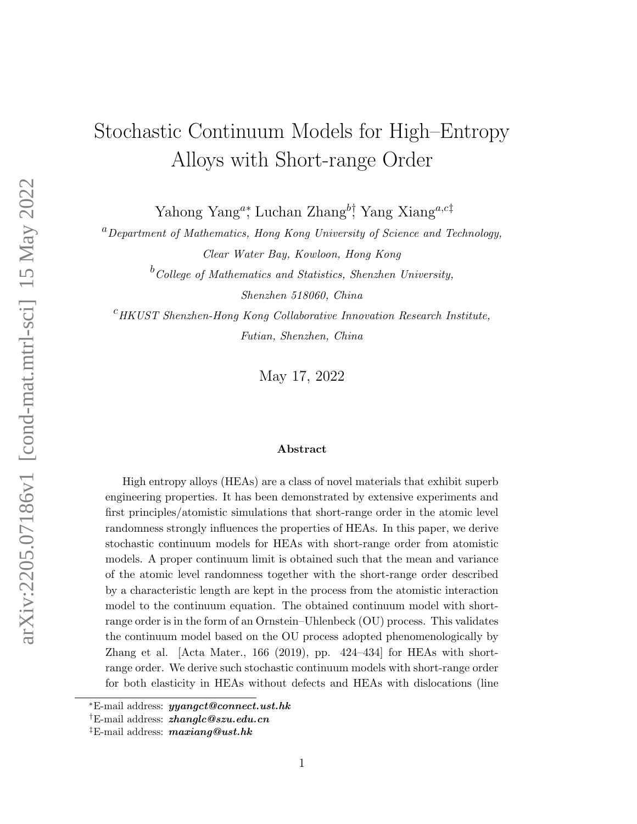# Stochastic Continuum Models for High–Entropy Alloys with Short-range Order

Yahong Yang<sup>a</sup>\*, Luchan Zhang<sup>b†</sup>, Yang Xiang<sup>a,c‡</sup>

 ${}^{a}$ Department of Mathematics, Hong Kong University of Science and Technology, Clear Water Bay, Kowloon, Hong Kong

> $b$ College of Mathematics and Statistics, Shenzhen University, Shenzhen 518060, China

 $c$ HKUST Shenzhen-Hong Kong Collaborative Innovation Research Institute, Futian, Shenzhen, China

May 17, 2022

#### Abstract

High entropy alloys (HEAs) are a class of novel materials that exhibit superb engineering properties. It has been demonstrated by extensive experiments and first principles/atomistic simulations that short-range order in the atomic level randomness strongly influences the properties of HEAs. In this paper, we derive stochastic continuum models for HEAs with short-range order from atomistic models. A proper continuum limit is obtained such that the mean and variance of the atomic level randomness together with the short-range order described by a characteristic length are kept in the process from the atomistic interaction model to the continuum equation. The obtained continuum model with shortrange order is in the form of an Ornstein–Uhlenbeck (OU) process. This validates the continuum model based on the OU process adopted phenomenologically by Zhang et al. [Acta Mater., 166 (2019), pp. 424–434] for HEAs with shortrange order. We derive such stochastic continuum models with short-range order for both elasticity in HEAs without defects and HEAs with dislocations (line

 $E$ -mail address: *yyangct@connect.ust.hk* 

<sup>&</sup>lt;sup>†</sup>E-mail address: *zhanglc@szu.edu.cn* 

<sup>&</sup>lt;sup>‡</sup>E-mail address:  $maxiang@ust.hk$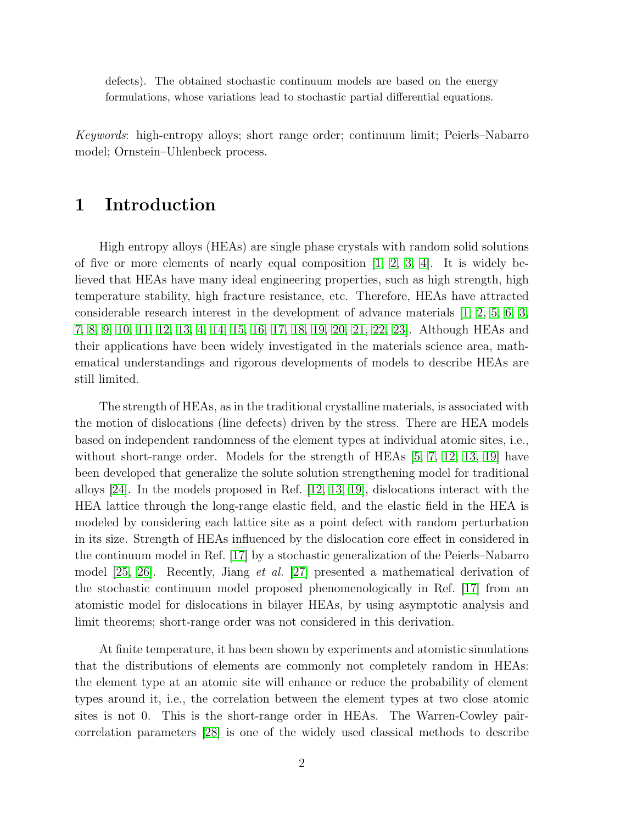defects). The obtained stochastic continuum models are based on the energy formulations, whose variations lead to stochastic partial differential equations.

Keywords: high-entropy alloys; short range order; continuum limit; Peierls–Nabarro model; Ornstein–Uhlenbeck process.

## 1 Introduction

High entropy alloys (HEAs) are single phase crystals with random solid solutions of five or more elements of nearly equal composition  $[1, 2, 3, 4]$  $[1, 2, 3, 4]$  $[1, 2, 3, 4]$  $[1, 2, 3, 4]$ . It is widely believed that HEAs have many ideal engineering properties, such as high strength, high temperature stability, high fracture resistance, etc. Therefore, HEAs have attracted considerable research interest in the development of advance materials  $\ket{1, 2, 5, 6, 3}$  $\ket{1, 2, 5, 6, 3}$  $\ket{1, 2, 5, 6, 3}$  $\ket{1, 2, 5, 6, 3}$  $\ket{1, 2, 5, 6, 3}$ , [7,](#page-23-6) [8,](#page-24-0) [9,](#page-24-1) [10,](#page-24-2) [11,](#page-24-3) [12,](#page-24-4) [13,](#page-24-5) [4,](#page-23-3) [14,](#page-24-6) [15,](#page-24-7) [16,](#page-24-8) [17,](#page-24-9) [18,](#page-24-10) [19,](#page-25-0) [20,](#page-25-1) [21,](#page-25-2) [22,](#page-25-3) [23\]](#page-25-4). Although HEAs and their applications have been widely investigated in the materials science area, mathematical understandings and rigorous developments of models to describe HEAs are still limited.

The strength of HEAs, as in the traditional crystalline materials, is associated with the motion of dislocations (line defects) driven by the stress. There are HEA models based on independent randomness of the element types at individual atomic sites, i.e., without short-range order. Models for the strength of HEAs [\[5,](#page-23-4) [7,](#page-23-6) [12,](#page-24-4) [13,](#page-24-5) [19\]](#page-25-0) have been developed that generalize the solute solution strengthening model for traditional alloys [\[24\]](#page-25-5). In the models proposed in Ref. [\[12,](#page-24-4) [13,](#page-24-5) [19\]](#page-25-0), dislocations interact with the HEA lattice through the long-range elastic field, and the elastic field in the HEA is modeled by considering each lattice site as a point defect with random perturbation in its size. Strength of HEAs influenced by the dislocation core effect in considered in the continuum model in Ref. [\[17\]](#page-24-9) by a stochastic generalization of the Peierls–Nabarro model [\[25,](#page-25-6) [26\]](#page-25-7). Recently, Jiang et al. [\[27\]](#page-25-8) presented a mathematical derivation of the stochastic continuum model proposed phenomenologically in Ref. [\[17\]](#page-24-9) from an atomistic model for dislocations in bilayer HEAs, by using asymptotic analysis and limit theorems; short-range order was not considered in this derivation.

At finite temperature, it has been shown by experiments and atomistic simulations that the distributions of elements are commonly not completely random in HEAs: the element type at an atomic site will enhance or reduce the probability of element types around it, i.e., the correlation between the element types at two close atomic sites is not 0. This is the short-range order in HEAs. The Warren-Cowley paircorrelation parameters [\[28\]](#page-25-9) is one of the widely used classical methods to describe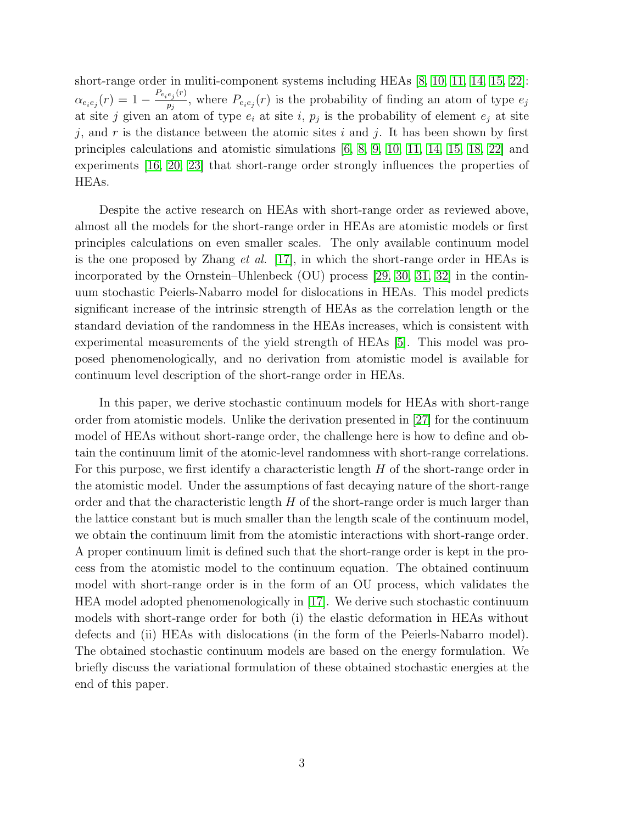short-range order in muliti-component systems including HEAs [\[8,](#page-24-0) [10,](#page-24-2) [11,](#page-24-3) [14,](#page-24-6) [15,](#page-24-7) [22\]](#page-25-3):  $\alpha_{e_ie_j}(r)=1-\frac{P_{e_ie_j}(r)}{p_i}$  $\frac{e_j(r)}{p_j}$ , where  $P_{e_i e_j}(r)$  is the probability of finding an atom of type  $e_j$ at site j given an atom of type  $e_i$  at site i,  $p_j$  is the probability of element  $e_j$  at site j, and r is the distance between the atomic sites i and j. It has been shown by first principles calculations and atomistic simulations [\[6,](#page-23-5) [8,](#page-24-0) [9,](#page-24-1) [10,](#page-24-2) [11,](#page-24-3) [14,](#page-24-6) [15,](#page-24-7) [18,](#page-24-10) [22\]](#page-25-3) and experiments [\[16,](#page-24-8) [20,](#page-25-1) [23\]](#page-25-4) that short-range order strongly influences the properties of HEAs.

Despite the active research on HEAs with short-range order as reviewed above, almost all the models for the short-range order in HEAs are atomistic models or first principles calculations on even smaller scales. The only available continuum model is the one proposed by Zhang *et al.* [\[17\]](#page-24-9), in which the short-range order in HEAs is incorporated by the Ornstein–Uhlenbeck (OU) process [\[29,](#page-25-10) [30,](#page-25-11) [31,](#page-25-12) [32\]](#page-25-13) in the continuum stochastic Peierls-Nabarro model for dislocations in HEAs. This model predicts significant increase of the intrinsic strength of HEAs as the correlation length or the standard deviation of the randomness in the HEAs increases, which is consistent with experimental measurements of the yield strength of HEAs [\[5\]](#page-23-4). This model was proposed phenomenologically, and no derivation from atomistic model is available for continuum level description of the short-range order in HEAs.

In this paper, we derive stochastic continuum models for HEAs with short-range order from atomistic models. Unlike the derivation presented in [\[27\]](#page-25-8) for the continuum model of HEAs without short-range order, the challenge here is how to define and obtain the continuum limit of the atomic-level randomness with short-range correlations. For this purpose, we first identify a characteristic length  $H$  of the short-range order in the atomistic model. Under the assumptions of fast decaying nature of the short-range order and that the characteristic length  $H$  of the short-range order is much larger than the lattice constant but is much smaller than the length scale of the continuum model, we obtain the continuum limit from the atomistic interactions with short-range order. A proper continuum limit is defined such that the short-range order is kept in the process from the atomistic model to the continuum equation. The obtained continuum model with short-range order is in the form of an OU process, which validates the HEA model adopted phenomenologically in [\[17\]](#page-24-9). We derive such stochastic continuum models with short-range order for both (i) the elastic deformation in HEAs without defects and (ii) HEAs with dislocations (in the form of the Peierls-Nabarro model). The obtained stochastic continuum models are based on the energy formulation. We briefly discuss the variational formulation of these obtained stochastic energies at the end of this paper.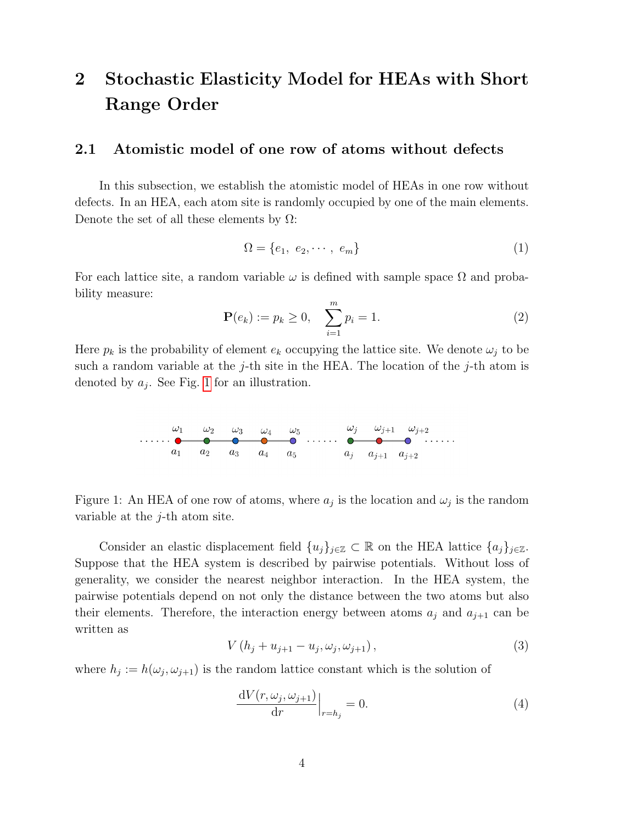## 2 Stochastic Elasticity Model for HEAs with Short Range Order

#### <span id="page-3-3"></span>2.1 Atomistic model of one row of atoms without defects

In this subsection, we establish the atomistic model of HEAs in one row without defects. In an HEA, each atom site is randomly occupied by one of the main elements. Denote the set of all these elements by  $\Omega$ :

$$
\Omega = \{e_1, e_2, \cdots, e_m\} \tag{1}
$$

For each lattice site, a random variable  $\omega$  is defined with sample space  $\Omega$  and probability measure:

<span id="page-3-1"></span>
$$
\mathbf{P}(e_k) := p_k \ge 0, \quad \sum_{i=1}^{m} p_i = 1. \tag{2}
$$

Here  $p_k$  is the probability of element  $e_k$  occupying the lattice site. We denote  $\omega_i$  to be such a random variable at the j-th site in the HEA. The location of the j-th atom is denoted by  $a_j$ . See Fig. [1](#page-3-0) for an illustration.



<span id="page-3-0"></span>Figure 1: An HEA of one row of atoms, where  $a_j$  is the location and  $\omega_j$  is the random variable at the  $j$ -th atom site.

Consider an elastic displacement field  $\{u_j\}_{j\in\mathbb{Z}}\subset\mathbb{R}$  on the HEA lattice  $\{a_j\}_{j\in\mathbb{Z}}$ . Suppose that the HEA system is described by pairwise potentials. Without loss of generality, we consider the nearest neighbor interaction. In the HEA system, the pairwise potentials depend on not only the distance between the two atoms but also their elements. Therefore, the interaction energy between atoms  $a_j$  and  $a_{j+1}$  can be written as

$$
V(h_j + u_{j+1} - u_j, \omega_j, \omega_{j+1}), \qquad (3)
$$

where  $h_j := h(\omega_j, \omega_{j+1})$  is the random lattice constant which is the solution of

<span id="page-3-2"></span>
$$
\frac{\mathrm{d}V(r,\omega_j,\omega_{j+1})}{\mathrm{d}r}\Big|_{r=h_j} = 0.
$$
\n(4)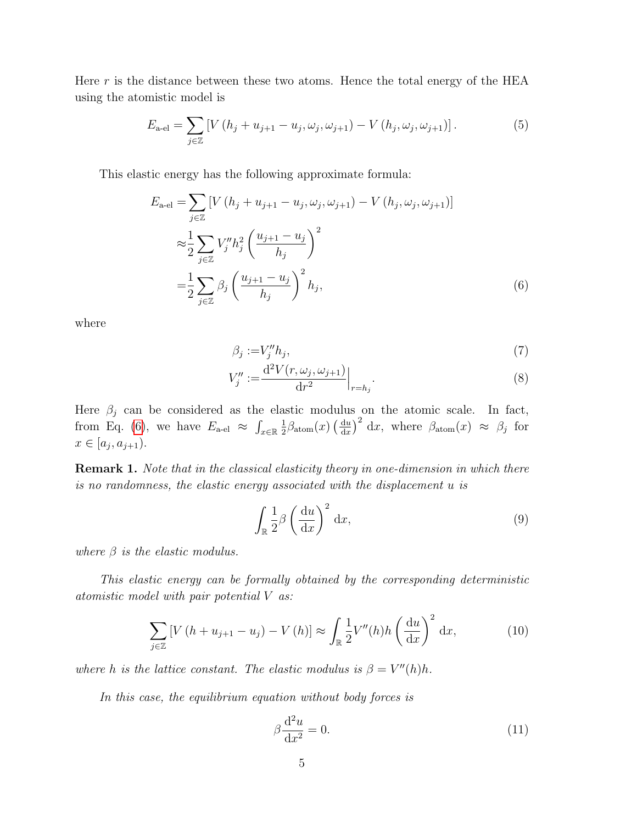Here  $r$  is the distance between these two atoms. Hence the total energy of the HEA using the atomistic model is

$$
E_{\text{a-el}} = \sum_{j \in \mathbb{Z}} \left[ V\left( h_j + u_{j+1} - u_j, \omega_j, \omega_{j+1} \right) - V\left( h_j, \omega_j, \omega_{j+1} \right) \right]. \tag{5}
$$

This elastic energy has the following approximate formula:

$$
E_{\text{a-el}} = \sum_{j \in \mathbb{Z}} \left[ V\left(h_j + u_{j+1} - u_j, \omega_j, \omega_{j+1}\right) - V\left(h_j, \omega_j, \omega_{j+1}\right) \right]
$$
  

$$
\approx \frac{1}{2} \sum_{j \in \mathbb{Z}} V''_j h_j^2 \left( \frac{u_{j+1} - u_j}{h_j} \right)^2
$$
  

$$
= \frac{1}{2} \sum_{j \in \mathbb{Z}} \beta_j \left( \frac{u_{j+1} - u_j}{h_j} \right)^2 h_j,
$$
 (6)

where

<span id="page-4-2"></span><span id="page-4-1"></span><span id="page-4-0"></span>
$$
\beta_j := V_j'' h_j,\tag{7}
$$

$$
V''_j := \frac{d^2 V(r, \omega_j, \omega_{j+1})}{dr^2} \Big|_{r=h_j}.
$$
\n(8)

Here  $\beta_j$  can be considered as the elastic modulus on the atomic scale. In fact, from Eq. [\(6\)](#page-4-0), we have  $E_{\text{a-el}} \approx \int_{x \in \mathbb{R}} \frac{1}{2}$  $\frac{1}{2}\beta_{\text{atom}}(x) \left(\frac{\mathrm{d}u}{\mathrm{d}x}\right)$  $\frac{du}{dx}$ )<sup>2</sup> dx, where  $\beta_{\text{atom}}(x) \approx \beta_j$  for  $x \in [a_j, a_{j+1}).$ 

**Remark 1.** Note that in the classical elasticity theory in one-dimension in which there is no randomness, the elastic energy associated with the displacement u is

$$
\int_{\mathbb{R}} \frac{1}{2} \beta \left(\frac{\mathrm{d}u}{\mathrm{d}x}\right)^2 \mathrm{d}x,\tag{9}
$$

where  $\beta$  is the elastic modulus.

This elastic energy can be formally obtained by the corresponding deterministic atomistic model with pair potential V as:

$$
\sum_{j\in\mathbb{Z}} \left[ V\left( h + u_{j+1} - u_j \right) - V\left( h \right) \right] \approx \int_{\mathbb{R}} \frac{1}{2} V''(h) h \left( \frac{\mathrm{d}u}{\mathrm{d}x} \right)^2 \mathrm{d}x,\tag{10}
$$

where h is the lattice constant. The elastic modulus is  $\beta = V''(h)h$ .

In this case, the equilibrium equation without body forces is

$$
\beta \frac{\mathrm{d}^2 u}{\mathrm{d}x^2} = 0. \tag{11}
$$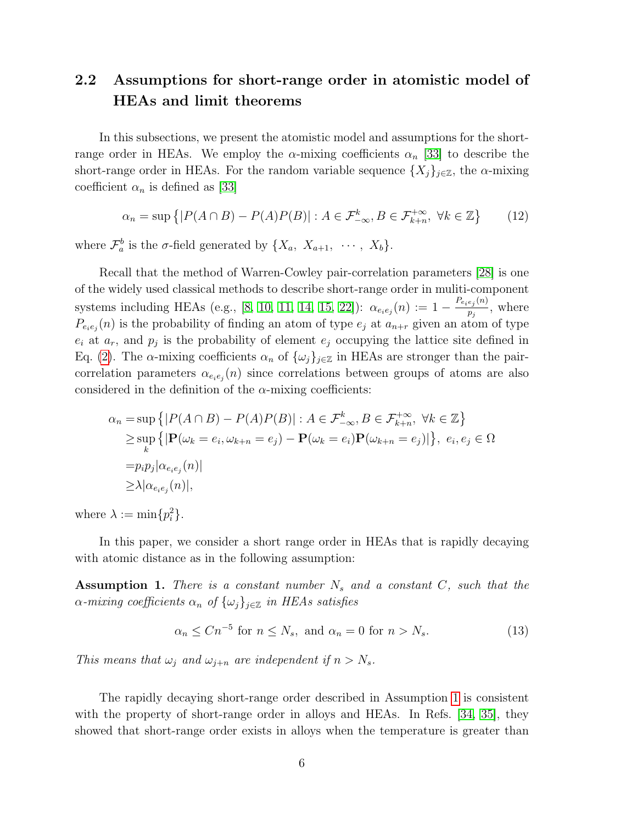## <span id="page-5-2"></span>2.2 Assumptions for short-range order in atomistic model of HEAs and limit theorems

In this subsections, we present the atomistic model and assumptions for the shortrange order in HEAs. We employ the  $\alpha$ -mixing coefficients  $\alpha_n$  [\[33\]](#page-26-0) to describe the short-range order in HEAs. For the random variable sequence  $\{X_i\}_{i\in\mathbb{Z}}$ , the  $\alpha$ -mixing coefficient  $\alpha_n$  is defined as [\[33\]](#page-26-0)

$$
\alpha_n = \sup \left\{ |P(A \cap B) - P(A)P(B)| : A \in \mathcal{F}_{-\infty}^k, B \in \mathcal{F}_{k+n}^{+\infty}, \ \forall k \in \mathbb{Z} \right\} \tag{12}
$$

where  $\mathcal{F}_a^b$  is the  $\sigma$ -field generated by  $\{X_a, X_{a+1}, \cdots, X_b\}.$ 

Recall that the method of Warren-Cowley pair-correlation parameters [\[28\]](#page-25-9) is one of the widely used classical methods to describe short-range order in muliti-component systems including HEAs (e.g., [\[8,](#page-24-0) [10,](#page-24-2) [11,](#page-24-3) [14,](#page-24-6) [15,](#page-24-7) [22\]](#page-25-3)):  $\alpha_{e_i e_j}(n) := 1 - \frac{P_{e_i e_j}(n)}{p_i}$  $\frac{e_j(v)}{p_j}$ , where  $P_{e_i e_j}(n)$  is the probability of finding an atom of type  $e_j$  at  $a_{n+r}$  given an atom of type  $e_i$  at  $a_r$ , and  $p_j$  is the probability of element  $e_j$  occupying the lattice site defined in Eq. [\(2\)](#page-3-1). The  $\alpha$ -mixing coefficients  $\alpha_n$  of  $\{\omega_j\}_{j\in\mathbb{Z}}$  in HEAs are stronger than the paircorrelation parameters  $\alpha_{e_ie_j}(n)$  since correlations between groups of atoms are also considered in the definition of the  $\alpha$ -mixing coefficients:

$$
\alpha_n = \sup \{ |P(A \cap B) - P(A)P(B)| : A \in \mathcal{F}_{-\infty}^k, B \in \mathcal{F}_{k+n}^{+\infty}, \forall k \in \mathbb{Z} \}
$$
  
\n
$$
\geq \sup_k \{ |\mathbf{P}(\omega_k = e_i, \omega_{k+n} = e_j) - \mathbf{P}(\omega_k = e_i)\mathbf{P}(\omega_{k+n} = e_j)| \}, e_i, e_j \in \Omega
$$
  
\n
$$
= p_i p_j |\alpha_{e_i e_j}(n)|
$$
  
\n
$$
\geq \lambda |\alpha_{e_i e_j}(n)|,
$$

where  $\lambda := \min\{p_i^2\}.$ 

In this paper, we consider a short range order in HEAs that is rapidly decaying with atomic distance as in the following assumption:

<span id="page-5-0"></span>**Assumption 1.** There is a constant number  $N_s$  and a constant  $C$ , such that the  $\alpha$ -mixing coefficients  $\alpha_n$  of  $\{\omega_j\}_{j\in\mathbb{Z}}$  in HEAs satisfies

<span id="page-5-1"></span>
$$
\alpha_n \le Cn^{-5} \text{ for } n \le N_s, \text{ and } \alpha_n = 0 \text{ for } n > N_s. \tag{13}
$$

This means that  $\omega_i$  and  $\omega_{i+n}$  are independent if  $n > N_s$ .

The rapidly decaying short-range order described in Assumption [1](#page-5-0) is consistent with the property of short-range order in alloys and HEAs. In Refs. [\[34,](#page-26-1) [35\]](#page-26-2), they showed that short-range order exists in alloys when the temperature is greater than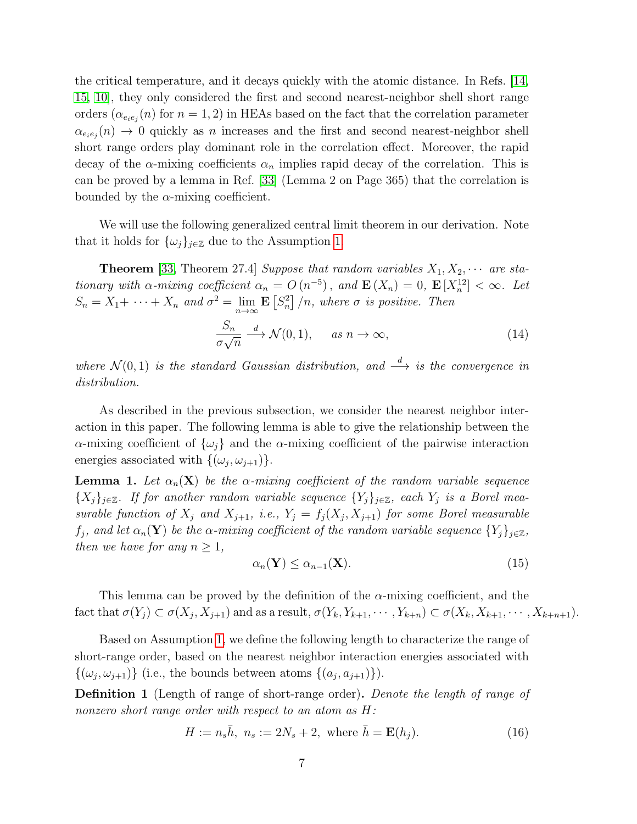the critical temperature, and it decays quickly with the atomic distance. In Refs. [\[14,](#page-24-6) [15,](#page-24-7) [10\]](#page-24-2), they only considered the first and second nearest-neighbor shell short range orders  $(\alpha_{e_ie_j}(n)$  for  $n = 1, 2)$  in HEAs based on the fact that the correlation parameter  $\alpha_{e_i e_j}(n) \to 0$  quickly as n increases and the first and second nearest-neighbor shell short range orders play dominant role in the correlation effect. Moreover, the rapid decay of the  $\alpha$ -mixing coefficients  $\alpha_n$  implies rapid decay of the correlation. This is can be proved by a lemma in Ref. [\[33\]](#page-26-0) (Lemma 2 on Page 365) that the correlation is bounded by the  $\alpha$ -mixing coefficient.

We will use the following generalized central limit theorem in our derivation. Note that it holds for  $\{\omega_j\}_{j\in\mathbb{Z}}$  due to the Assumption [1.](#page-5-0)

**Theorem** [\[33,](#page-26-0) Theorem 27.4] Suppose that random variables  $X_1, X_2, \cdots$  are stationary with  $\alpha$ -mixing coefficient  $\alpha_n = O(n^{-5})$ , and  $\mathbf{E}(X_n) = 0$ ,  $\mathbf{E}[X_n^{12}] < \infty$ . Let  $S_n = X_1 + \cdots + X_n$  and  $\sigma^2 = \lim_{n \to \infty} \mathbf{E} [S_n^2] / n$ , where  $\sigma$  is positive. Then

$$
\frac{S_n}{\sigma\sqrt{n}} \xrightarrow{d} \mathcal{N}(0,1), \quad \text{as } n \to \infty,
$$
\n(14)

where  $\mathcal{N}(0,1)$  is the standard Gaussian distribution, and  $\stackrel{d}{\longrightarrow}$  is the convergence in distribution.

As described in the previous subsection, we consider the nearest neighbor interaction in this paper. The following lemma is able to give the relationship between the  $\alpha$ -mixing coefficient of  $\{\omega_i\}$  and the  $\alpha$ -mixing coefficient of the pairwise interaction energies associated with  $\{(\omega_j, \omega_{j+1})\}.$ 

<span id="page-6-2"></span>**Lemma 1.** Let  $\alpha_n(\mathbf{X})$  be the  $\alpha$ -mixing coefficient of the random variable sequence  ${X_i}_{i\in\mathbb{Z}}$ . If for another random variable sequence  ${Y_i}_{i\in\mathbb{Z}}$ , each  $Y_i$  is a Borel measurable function of  $X_j$  and  $X_{j+1}$ , i.e.,  $Y_j = f_j(X_j, X_{j+1})$  for some Borel measurable  $f_j$ , and let  $\alpha_n(\mathbf{Y})$  be the  $\alpha$ -mixing coefficient of the random variable sequence  $\{Y_j\}_{j\in\mathbb{Z}}$ , then we have for any  $n \geq 1$ ,

$$
\alpha_n(\mathbf{Y}) \le \alpha_{n-1}(\mathbf{X}).\tag{15}
$$

This lemma can be proved by the definition of the  $\alpha$ -mixing coefficient, and the fact that  $\sigma(Y_j) \subset \sigma(X_j, X_{j+1})$  and as a result,  $\sigma(Y_k, Y_{k+1}, \cdots, Y_{k+n}) \subset \sigma(X_k, X_{k+1}, \cdots, X_{k+n+1}).$ 

Based on Assumption [1,](#page-5-0) we define the following length to characterize the range of short-range order, based on the nearest neighbor interaction energies associated with  $\{(\omega_j, \omega_{j+1})\}$  (i.e., the bounds between atoms  $\{(a_j, a_{j+1})\}\$ ).

<span id="page-6-1"></span>Definition 1 (Length of range of short-range order). Denote the length of range of nonzero short range order with respect to an atom as H:

<span id="page-6-0"></span>
$$
H := n_s \bar{h}, \ n_s := 2N_s + 2, \text{ where } \bar{h} = \mathbf{E}(h_j). \tag{16}
$$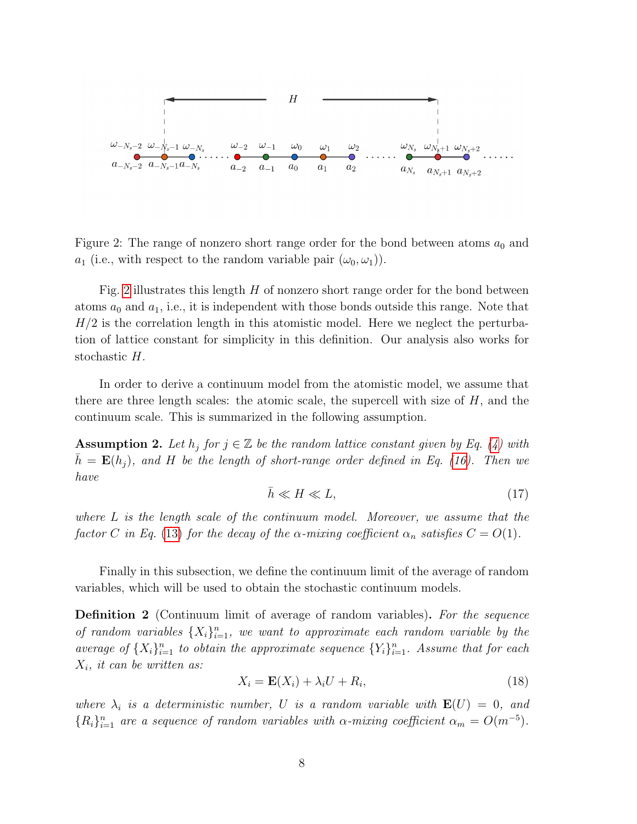

<span id="page-7-0"></span>Figure 2: The range of nonzero short range order for the bond between atoms  $a_0$  and  $a_1$  (i.e., with respect to the random variable pair  $(\omega_0, \omega_1)$ ).

Fig. [2](#page-7-0) illustrates this length  $H$  of nonzero short range order for the bond between atoms  $a_0$  and  $a_1$ , i.e., it is independent with those bonds outside this range. Note that  $H/2$  is the correlation length in this atomistic model. Here we neglect the perturbation of lattice constant for simplicity in this definition. Our analysis also works for stochastic H.

In order to derive a continuum model from the atomistic model, we assume that there are three length scales: the atomic scale, the supercell with size of  $H$ , and the continuum scale. This is summarized in the following assumption.

<span id="page-7-2"></span>**Assumption 2.** Let  $h_j$  for  $j \in \mathbb{Z}$  be the random lattice constant given by Eq. [\(4\)](#page-3-2) with  $h = \mathbf{E}(h_i)$ , and H be the length of short-range order defined in Eq. [\(16\)](#page-6-0). Then we have

$$
\bar{h} \ll H \ll L,\tag{17}
$$

where L is the length scale of the continuum model. Moreover, we assume that the factor C in Eq. [\(13\)](#page-5-1) for the decay of the  $\alpha$ -mixing coefficient  $\alpha_n$  satisfies  $C = O(1)$ .

Finally in this subsection, we define the continuum limit of the average of random variables, which will be used to obtain the stochastic continuum models.

<span id="page-7-1"></span>**Definition 2** (Continuum limit of average of random variables). For the sequence of random variables  $\{X_i\}_{i=1}^n$ , we want to approximate each random variable by the average of  $\{X_i\}_{i=1}^n$  to obtain the approximate sequence  $\{Y_i\}_{i=1}^n$ . Assume that for each  $X_i$ , it can be written as:

$$
X_i = \mathbf{E}(X_i) + \lambda_i U + R_i,\tag{18}
$$

where  $\lambda_i$  is a deterministic number, U is a random variable with  $\mathbf{E}(U) = 0$ , and  ${R_i}_{i=1}^n$  are a sequence of random variables with  $\alpha$ -mixing coefficient  $\alpha_m = O(m^{-5})$ .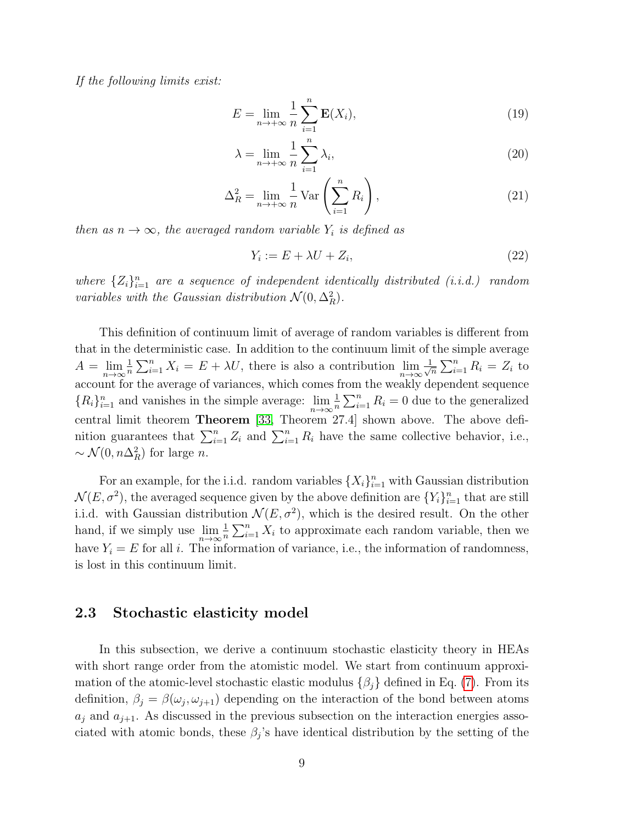If the following limits exist:

$$
E = \lim_{n \to +\infty} \frac{1}{n} \sum_{i=1}^{n} \mathbf{E}(X_i),
$$
\n(19)

$$
\lambda = \lim_{n \to +\infty} \frac{1}{n} \sum_{i=1}^{n} \lambda_i,
$$
\n(20)

$$
\Delta_R^2 = \lim_{n \to +\infty} \frac{1}{n} \text{Var}\left(\sum_{i=1}^n R_i\right),\tag{21}
$$

then as  $n \to \infty$ , the averaged random variable  $Y_i$  is defined as

$$
Y_i := E + \lambda U + Z_i,\tag{22}
$$

where  $\{Z_i\}_{i=1}^n$  are a sequence of independent identically distributed (i.i.d.) random variables with the Gaussian distribution  $\mathcal{N}(0, \Delta_R^2)$ .

This definition of continuum limit of average of random variables is different from that in the deterministic case. In addition to the continuum limit of the simple average  $A = \lim_{n \to \infty} \frac{1}{n}$  $\frac{1}{n} \sum_{i=1}^{n} X_i = E + \lambda U$ , there is also a contribution  $\lim_{n \to \infty} \frac{1}{\sqrt{n}}$  $\frac{1}{n}\sum_{i=1}^{n} R_i = Z_i$  to account for the average of variances, which comes from the weakly dependent sequence  ${R_i}_{i=1}^n$  and vanishes in the simple average:  $\lim_{n\to\infty} \frac{1}{n}$  $\frac{1}{n} \sum_{i=1}^{n} R_i = 0$  due to the generalized central limit theorem Theorem [\[33,](#page-26-0) Theorem 27.4] shown above. The above definition guarantees that  $\sum_{i=1}^{n} Z_i$  and  $\sum_{i=1}^{n} R_i$  have the same collective behavior, i.e.,  $\sim \mathcal{N}(0, n\Delta_R^2)$  for large *n*.

For an example, for the i.i.d. random variables  $\{X_i\}_{i=1}^n$  with Gaussian distribution  $\mathcal{N}(E, \sigma^2)$ , the averaged sequence given by the above definition are  $\{Y_i\}_{i=1}^n$  that are still i.i.d. with Gaussian distribution  $\mathcal{N}(E, \sigma^2)$ , which is the desired result. On the other hand, if we simply use  $\lim_{n\to\infty} \frac{1}{n}$  $\frac{1}{n} \sum_{i=1}^{n} X_i$  to approximate each random variable, then we have  $Y_i = E$  for all i. The information of variance, i.e., the information of randomness, is lost in this continuum limit.

#### <span id="page-8-0"></span>2.3 Stochastic elasticity model

In this subsection, we derive a continuum stochastic elasticity theory in HEAs with short range order from the atomistic model. We start from continuum approximation of the atomic-level stochastic elastic modulus  $\{\beta_i\}$  defined in Eq. [\(7\)](#page-4-1). From its definition,  $\beta_j = \beta(\omega_j, \omega_{j+1})$  depending on the interaction of the bond between atoms  $a_j$  and  $a_{j+1}$ . As discussed in the previous subsection on the interaction energies associated with atomic bonds, these  $\beta_j$ 's have identical distribution by the setting of the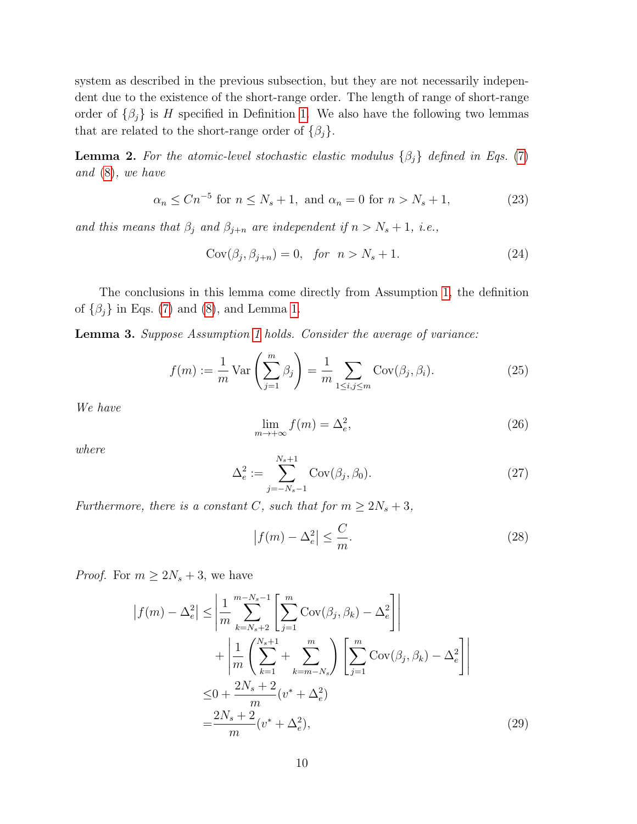system as described in the previous subsection, but they are not necessarily independent due to the existence of the short-range order. The length of range of short-range order of  $\{\beta_j\}$  is H specified in Definition [1.](#page-6-1) We also have the following two lemmas that are related to the short-range order of  $\{\beta_j\}.$ 

<span id="page-9-0"></span>**Lemma 2.** For the atomic-level stochastic elastic modulus  $\{\beta_j\}$  defined in Eqs. [\(7\)](#page-4-1) and [\(8\)](#page-4-2), we have

$$
\alpha_n \le Cn^{-5} \text{ for } n \le N_s + 1, \text{ and } \alpha_n = 0 \text{ for } n > N_s + 1,
$$
 (23)

and this means that  $\beta_j$  and  $\beta_{j+n}$  are independent if  $n > N_s + 1$ , i.e.,

$$
Cov(\beta_j, \beta_{j+n}) = 0, \quad \text{for} \quad n > N_s + 1. \tag{24}
$$

The conclusions in this lemma come directly from Assumption [1,](#page-5-0) the definition of  $\{\beta_j\}$  in Eqs. [\(7\)](#page-4-1) and [\(8\)](#page-4-2), and Lemma [1.](#page-6-2)

<span id="page-9-2"></span>Lemma 3. Suppose Assumption [1](#page-5-0) holds. Consider the average of variance:

$$
f(m) := \frac{1}{m} \operatorname{Var}\left(\sum_{j=1}^{m} \beta_j\right) = \frac{1}{m} \sum_{1 \le i, j \le m} \operatorname{Cov}(\beta_j, \beta_i). \tag{25}
$$

We have

$$
\lim_{m \to +\infty} f(m) = \Delta_e^2,\tag{26}
$$

where

<span id="page-9-1"></span>
$$
\Delta_e^2 := \sum_{j=-N_s-1}^{N_s+1} \text{Cov}(\beta_j, \beta_0). \tag{27}
$$

Furthermore, there is a constant C, such that for  $m \geq 2N_s + 3$ ,

$$
\left|f(m) - \Delta_e^2\right| \le \frac{C}{m}.\tag{28}
$$

*Proof.* For  $m \geq 2N_s + 3$ , we have

$$
|f(m) - \Delta_e^2| \le \left| \frac{1}{m} \sum_{k=N_s+2}^{m-N_s-1} \left[ \sum_{j=1}^m \text{Cov}(\beta_j, \beta_k) - \Delta_e^2 \right] \right|
$$
  
+ 
$$
\left| \frac{1}{m} \left( \sum_{k=1}^{N_s+1} + \sum_{k=m-N_s}^m \right) \left[ \sum_{j=1}^m \text{Cov}(\beta_j, \beta_k) - \Delta_e^2 \right] \right|
$$
  

$$
\le 0 + \frac{2N_s+2}{m} (v^* + \Delta_e^2)
$$
  
= 
$$
\frac{2N_s+2}{m} (v^* + \Delta_e^2),
$$
 (29)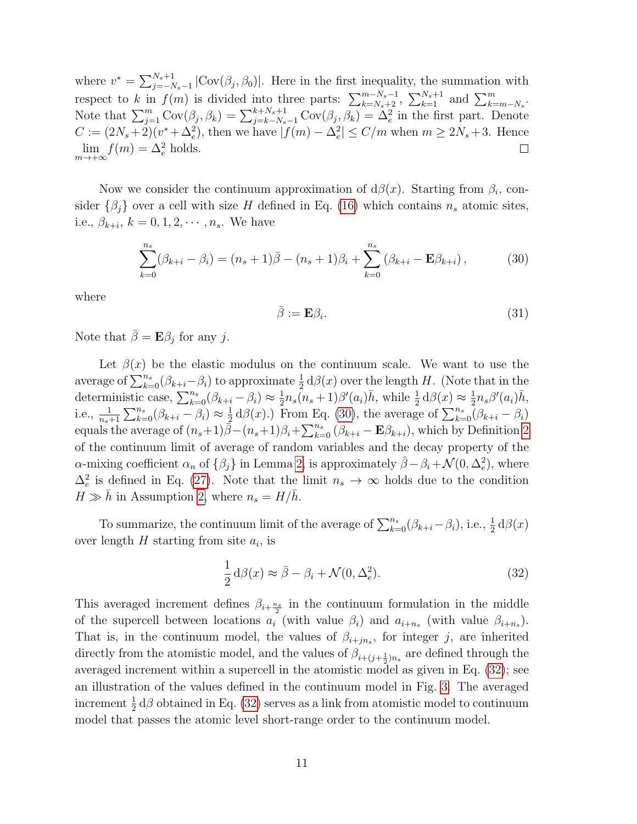where  $v^* = \sum_{j=-N_s-1}^{N_s+1} |\text{Cov}(\beta_j, \beta_0)|$ . Here in the first inequality, the summation with respect to k in  $f(m)$  is divided into three parts:  $\sum_{k=N_s+2}^{m-N_s-1}$ ,  $\sum_{k=1}^{N_s+1}$  and  $\sum_{k=m-N_s}^{m}$ . Note that  $\sum_{j=1}^m \text{Cov}(\beta_j, \beta_k) = \sum_{j=k-N_s-1}^{k+N_s+1} \text{Cov}(\beta_j, \beta_k) = \tilde{\Delta}_e^2$  in the first part. Denote  $C := (2N_s + 2)(v^* + \Delta_e^2)$ , then we have  $|f(m) - \Delta_e^2| \le C/m$  when  $m \ge 2N_s + 3$ . Hence  $\lim_{m \to +\infty} f(m) = \Delta_e^2$  holds.  $\Box$ 

Now we consider the continuum approximation of  $d\beta(x)$ . Starting from  $\beta_i$ , consider  $\{\beta_j\}$  over a cell with size H defined in Eq. [\(16\)](#page-6-0) which contains  $n_s$  atomic sites, i.e.,  $\beta_{k+i}, k = 0, 1, 2, \cdots, n_s$ . We have

<span id="page-10-0"></span>
$$
\sum_{k=0}^{n_s} (\beta_{k+i} - \beta_i) = (n_s + 1)\bar{\beta} - (n_s + 1)\beta_i + \sum_{k=0}^{n_s} (\beta_{k+i} - \mathbf{E}\beta_{k+i}),
$$
(30)

where

$$
\bar{\beta} := \mathbf{E}\beta_i. \tag{31}
$$

Note that  $\bar{\beta} = \mathbf{E}\beta_j$  for any j.

Let  $\beta(x)$  be the elastic modulus on the continuum scale. We want to use the average of  $\sum_{k=0}^{n_s} (\beta_{k+i} - \beta_i)$  to approximate  $\frac{1}{2} d\beta(x)$  over the length H. (Note that in the deterministic case,  $\sum_{k=0}^{n_s} (\beta_{k+i} - \beta_i) \approx \frac{1}{2}$  $\frac{1}{2}n_s(n_s+1)\beta'(a_i)\bar{h}$ , while  $\frac{1}{2}d\beta(x) \approx \frac{1}{2}$  $\frac{1}{2}n_s\beta'(a_i)\bar{h}$ , i.e.,  $\frac{1}{n_s+1} \sum_{k=0}^{n_s} (\beta_{k+i} - \beta_i) \approx \frac{1}{2}$  $\frac{1}{2} d\beta(x)$ .) From Eq. [\(30\)](#page-10-0), the average of  $\sum_{k=0}^{n_s} (\beta_{k+i} - \beta_i)$ equals the average of  $(n_s+1)\overline{\beta}-(n_s+1)\beta_i+\sum_{k=0}^{n_s}(\beta_{k+i}-\mathbf{E}\beta_{k+i}),$  which by Definition [2](#page-7-1) of the continuum limit of average of random variables and the decay property of the α-mixing coefficient  $\alpha_n$  of  $\{\beta_j\}$  in Lemma [2,](#page-9-0) is approximately  $\bar{\beta} - \beta_i + \mathcal{N}(0, \Delta_e^2)$ , where  $\Delta_e^2$  is defined in Eq. [\(27\)](#page-9-1). Note that the limit  $n_s \to \infty$  holds due to the condition  $H \gg h$  in Assumption [2,](#page-7-2) where  $n_s = H/h$ .

To summarize, the continuum limit of the average of  $\sum_{k=0}^{n_s} (\beta_{k+i} - \beta_i)$ , i.e.,  $\frac{1}{2} d\beta(x)$ over length  $H$  starting from site  $a_i$ , is

<span id="page-10-1"></span>
$$
\frac{1}{2} d\beta(x) \approx \bar{\beta} - \beta_i + \mathcal{N}(0, \Delta_e^2).
$$
 (32)

This averaged increment defines  $\beta_{i+\frac{n_s}{2}}$  in the continuum formulation in the middle of the supercell between locations  $a_i$  (with value  $\beta_i$ ) and  $a_{i+n_s}$  (with value  $\beta_{i+n_s}$ ). That is, in the continuum model, the values of  $\beta_{i+jn_s}$ , for integer j, are inherited directly from the atomistic model, and the values of  $\beta_{i+(j+\frac{1}{2})n_s}$  are defined through the averaged increment within a supercell in the atomistic model as given in Eq. [\(32\)](#page-10-1); see an illustration of the values defined in the continuum model in Fig. [3.](#page-11-0) The averaged increment  $\frac{1}{2} d\beta$  obtained in Eq. [\(32\)](#page-10-1) serves as a link from atomistic model to continuum model that passes the atomic level short-range order to the continuum model.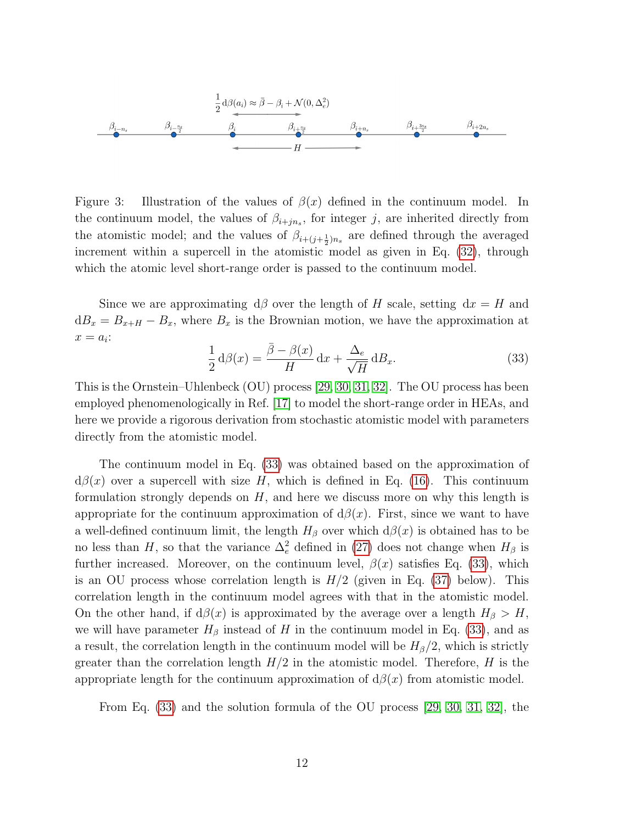

<span id="page-11-0"></span>Figure 3: Illustration of the values of  $\beta(x)$  defined in the continuum model. In the continuum model, the values of  $\beta_{i+jn_s}$ , for integer j, are inherited directly from the atomistic model; and the values of  $\beta_{i+(j+\frac{1}{2})n_s}$  are defined through the averaged increment within a supercell in the atomistic model as given in Eq. [\(32\)](#page-10-1), through which the atomic level short-range order is passed to the continuum model.

Since we are approximating  $d\beta$  over the length of H scale, setting  $dx = H$  and  $dB_x = B_{x+H} - B_x$ , where  $B_x$  is the Brownian motion, we have the approximation at  $x = a_i$ :

<span id="page-11-1"></span>
$$
\frac{1}{2} d\beta(x) = \frac{\bar{\beta} - \beta(x)}{H} dx + \frac{\Delta_e}{\sqrt{H}} dB_x.
$$
\n(33)

This is the Ornstein–Uhlenbeck (OU) process [\[29,](#page-25-10) [30,](#page-25-11) [31,](#page-25-12) [32\]](#page-25-13). The OU process has been employed phenomenologically in Ref. [\[17\]](#page-24-9) to model the short-range order in HEAs, and here we provide a rigorous derivation from stochastic atomistic model with parameters directly from the atomistic model.

The continuum model in Eq. [\(33\)](#page-11-1) was obtained based on the approximation of  $d\beta(x)$  over a supercell with size H, which is defined in Eq. [\(16\)](#page-6-0). This continuum formulation strongly depends on  $H$ , and here we discuss more on why this length is appropriate for the continuum approximation of  $d\beta(x)$ . First, since we want to have a well-defined continuum limit, the length  $H_\beta$  over which  $d\beta(x)$  is obtained has to be no less than H, so that the variance  $\Delta_e^2$  defined in [\(27\)](#page-9-1) does not change when  $H_\beta$  is further increased. Moreover, on the continuum level,  $\beta(x)$  satisfies Eq. [\(33\)](#page-11-1), which is an OU process whose correlation length is  $H/2$  (given in Eq. [\(37\)](#page-12-0) below). This correlation length in the continuum model agrees with that in the atomistic model. On the other hand, if  $d\beta(x)$  is approximated by the average over a length  $H_{\beta} > H$ , we will have parameter  $H_\beta$  instead of H in the continuum model in Eq. [\(33\)](#page-11-1), and as a result, the correlation length in the continuum model will be  $H_\beta/2$ , which is strictly greater than the correlation length  $H/2$  in the atomistic model. Therefore, H is the appropriate length for the continuum approximation of  $d\beta(x)$  from atomistic model.

From Eq. [\(33\)](#page-11-1) and the solution formula of the OU process [\[29,](#page-25-10) [30,](#page-25-11) [31,](#page-25-12) [32\]](#page-25-13), the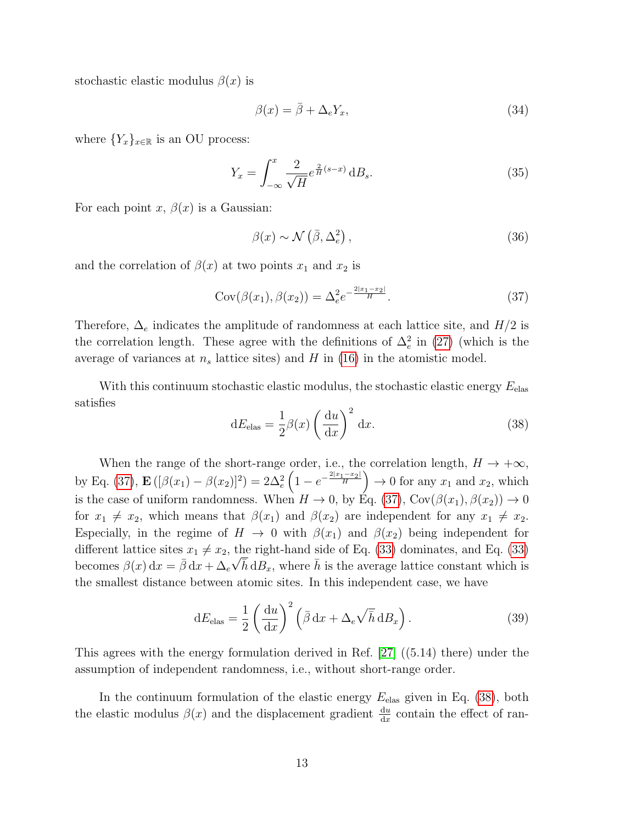stochastic elastic modulus  $\beta(x)$  is

<span id="page-12-2"></span>
$$
\beta(x) = \bar{\beta} + \Delta_e Y_x,\tag{34}
$$

where  ${Y_x}_{x \in \mathbb{R}}$  is an OU process:

<span id="page-12-4"></span>
$$
Y_x = \int_{-\infty}^x \frac{2}{\sqrt{H}} e^{\frac{2}{H}(s-x)} \, \mathrm{d}B_s. \tag{35}
$$

For each point x,  $\beta(x)$  is a Gaussian:

<span id="page-12-3"></span>
$$
\beta(x) \sim \mathcal{N}\left(\bar{\beta}, \Delta_e^2\right),\tag{36}
$$

and the correlation of  $\beta(x)$  at two points  $x_1$  and  $x_2$  is

<span id="page-12-0"></span>
$$
Cov(\beta(x_1), \beta(x_2)) = \Delta_e^2 e^{-\frac{2|x_1 - x_2|}{H}}.
$$
\n(37)

Therefore,  $\Delta_e$  indicates the amplitude of randomness at each lattice site, and  $H/2$  is the correlation length. These agree with the definitions of  $\Delta_e^2$  in [\(27\)](#page-9-1) (which is the average of variances at  $n_s$  lattice sites) and H in [\(16\)](#page-6-0) in the atomistic model.

With this continuum stochastic elastic modulus, the stochastic elastic energy  $E_{\text{elas}}$ satisfies

<span id="page-12-1"></span>
$$
dE_{\text{elas}} = \frac{1}{2}\beta(x)\left(\frac{du}{dx}\right)^2 dx.
$$
 (38)

When the range of the short-range order, i.e., the correlation length,  $H \to +\infty$ , by Eq. [\(37\)](#page-12-0),  $\mathbf{E}([\beta(x_1) - \beta(x_2)]^2) = 2\Delta_e^2 \left(1 - e^{-\frac{2|x_1 - x_2|}{H}}\right) \to 0$  for any  $x_1$  and  $x_2$ , which is the case of uniform randomness. When  $H \to 0$ , by Eq. [\(37\)](#page-12-0), Cov( $\beta(x_1), \beta(x_2)$ )  $\to 0$ for  $x_1 \neq x_2$ , which means that  $\beta(x_1)$  and  $\beta(x_2)$  are independent for any  $x_1 \neq x_2$ . Especially, in the regime of  $H \to 0$  with  $\beta(x_1)$  and  $\beta(x_2)$  being independent for different lattice sites  $x_1 \neq x_2$ , the right-hand side of Eq. [\(33\)](#page-11-1) dominates, and Eq. (33) becomes  $\beta(x) dx = \bar{\beta} dx + \Delta_e \sqrt{\bar{h}} dB_x$ , where  $\bar{h}$  is the average lattice constant which is the smallest distance between atomic sites. In this independent case, we have

<span id="page-12-5"></span>
$$
dE_{\text{elas}} = \frac{1}{2} \left( \frac{du}{dx} \right)^2 \left( \bar{\beta} \, dx + \Delta_e \sqrt{\bar{h}} \, dB_x \right). \tag{39}
$$

This agrees with the energy formulation derived in Ref. [\[27\]](#page-25-8) ((5.14) there) under the assumption of independent randomness, i.e., without short-range order.

In the continuum formulation of the elastic energy  $E_{\text{elas}}$  given in Eq. [\(38\)](#page-12-1), both the elastic modulus  $\beta(x)$  and the displacement gradient  $\frac{du}{dx}$  contain the effect of ran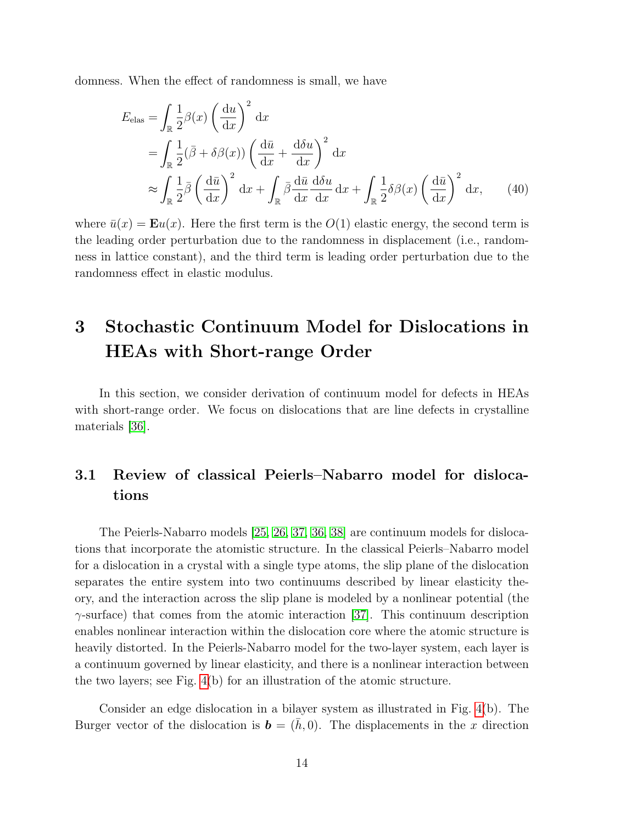domness. When the effect of randomness is small, we have

$$
E_{\text{elas}} = \int_{\mathbb{R}} \frac{1}{2} \beta(x) \left(\frac{du}{dx}\right)^2 dx
$$
  
= 
$$
\int_{\mathbb{R}} \frac{1}{2} (\bar{\beta} + \delta \beta(x)) \left(\frac{d\bar{u}}{dx} + \frac{d\delta u}{dx}\right)^2 dx
$$
  

$$
\approx \int_{\mathbb{R}} \frac{1}{2} \bar{\beta} \left(\frac{d\bar{u}}{dx}\right)^2 dx + \int_{\mathbb{R}} \bar{\beta} \frac{d\bar{u}}{dx} \frac{d\delta u}{dx} dx + \int_{\mathbb{R}} \frac{1}{2} \delta \beta(x) \left(\frac{d\bar{u}}{dx}\right)^2 dx, \qquad (40)
$$

where  $\bar{u}(x) = \mathbf{E}u(x)$ . Here the first term is the  $O(1)$  elastic energy, the second term is the leading order perturbation due to the randomness in displacement (i.e., randomness in lattice constant), and the third term is leading order perturbation due to the randomness effect in elastic modulus.

## 3 Stochastic Continuum Model for Dislocations in HEAs with Short-range Order

In this section, we consider derivation of continuum model for defects in HEAs with short-range order. We focus on dislocations that are line defects in crystalline materials [\[36\]](#page-26-3).

### <span id="page-13-0"></span>3.1 Review of classical Peierls–Nabarro model for dislocations

The Peierls-Nabarro models [\[25,](#page-25-6) [26,](#page-25-7) [37,](#page-26-4) [36,](#page-26-3) [38\]](#page-26-5) are continuum models for dislocations that incorporate the atomistic structure. In the classical Peierls–Nabarro model for a dislocation in a crystal with a single type atoms, the slip plane of the dislocation separates the entire system into two continuums described by linear elasticity theory, and the interaction across the slip plane is modeled by a nonlinear potential (the  $\gamma$ -surface) that comes from the atomic interaction [\[37\]](#page-26-4). This continuum description enables nonlinear interaction within the dislocation core where the atomic structure is heavily distorted. In the Peierls-Nabarro model for the two-layer system, each layer is a continuum governed by linear elasticity, and there is a nonlinear interaction between the two layers; see Fig. [4\(](#page-14-0)b) for an illustration of the atomic structure.

Consider an edge dislocation in a bilayer system as illustrated in Fig. [4\(](#page-14-0)b). The Burger vector of the dislocation is  $\mathbf{b} = (h, 0)$ . The displacements in the x direction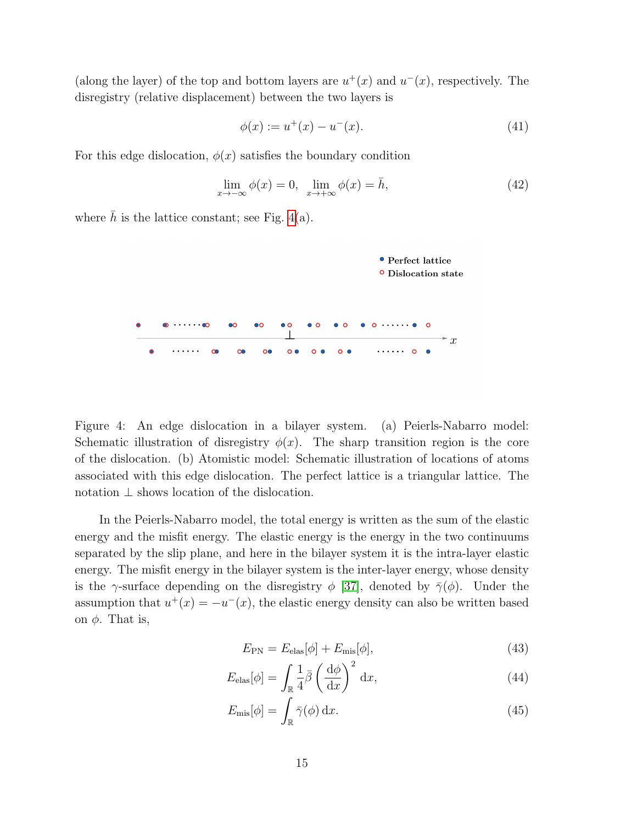(along the layer) of the top and bottom layers are  $u^+(x)$  and  $u^-(x)$ , respectively. The disregistry (relative displacement) between the two layers is

$$
\phi(x) := u^+(x) - u^-(x). \tag{41}
$$

For this edge dislocation,  $\phi(x)$  satisfies the boundary condition

$$
\lim_{x \to -\infty} \phi(x) = 0, \quad \lim_{x \to +\infty} \phi(x) = \bar{h}, \tag{42}
$$

where  $\bar{h}$  is the lattice constant; see Fig. [4\(](#page-14-0)a).



<span id="page-14-0"></span>Figure 4: An edge dislocation in a bilayer system. (a) Peierls-Nabarro model: Schematic illustration of disregistry  $\phi(x)$ . The sharp transition region is the core of the dislocation. (b) Atomistic model: Schematic illustration of locations of atoms associated with this edge dislocation. The perfect lattice is a triangular lattice. The notation ⊥ shows location of the dislocation.

In the Peierls-Nabarro model, the total energy is written as the sum of the elastic energy and the misfit energy. The elastic energy is the energy in the two continuums separated by the slip plane, and here in the bilayer system it is the intra-layer elastic energy. The misfit energy in the bilayer system is the inter-layer energy, whose density is the  $\gamma$ -surface depending on the disregistry  $\phi$  [\[37\]](#page-26-4), denoted by  $\bar{\gamma}(\phi)$ . Under the assumption that  $u^+(x) = -u^-(x)$ , the elastic energy density can also be written based on  $\phi$ . That is,

<span id="page-14-2"></span><span id="page-14-1"></span>
$$
E_{\rm PN} = E_{\rm elas}[\phi] + E_{\rm mis}[\phi],\tag{43}
$$

$$
E_{\text{elas}}[\phi] = \int_{\mathbb{R}} \frac{1}{4} \bar{\beta} \left(\frac{\mathrm{d}\phi}{\mathrm{d}x}\right)^2 \mathrm{d}x,\tag{44}
$$

$$
E_{\rm mis}[\phi] = \int_{\mathbb{R}} \bar{\gamma}(\phi) \, \mathrm{d}x. \tag{45}
$$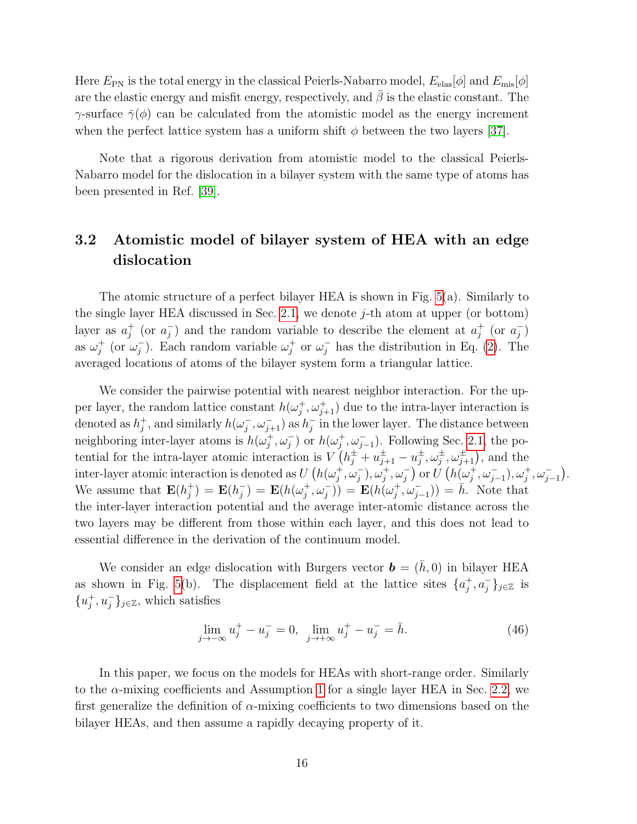Here  $E_{\rm PN}$  is the total energy in the classical Peierls-Nabarro model,  $E_{\rm elas}[\phi]$  and  $E_{\rm mis}[\phi]$ are the elastic energy and misfit energy, respectively, and  $\bar{\beta}$  is the elastic constant. The γ-surface  $\bar{\gamma}(\phi)$  can be calculated from the atomistic model as the energy increment when the perfect lattice system has a uniform shift  $\phi$  between the two layers [\[37\]](#page-26-4).

Note that a rigorous derivation from atomistic model to the classical Peierls-Nabarro model for the dislocation in a bilayer system with the same type of atoms has been presented in Ref. [\[39\]](#page-26-6).

## <span id="page-15-0"></span>3.2 Atomistic model of bilayer system of HEA with an edge dislocation

The atomic structure of a perfect bilayer HEA is shown in Fig. [5\(](#page-16-0)a). Similarly to the single layer HEA discussed in Sec. [2.1,](#page-3-3) we denote  $j$ -th atom at upper (or bottom) layer as  $a_i^+$  $j^+$  (or  $a_j^$  $j$ ) and the random variable to describe the element at  $a_j^+$  $j^+$  (or  $a_j^ \binom{-}{j}$ as  $\omega_i^+$  $j^+$  (or  $\omega_j^$  $j$ ). Each random variable  $\omega_j^+$  $j^+$  or  $\omega_j^-$  has the distribution in Eq. [\(2\)](#page-3-1). The averaged locations of atoms of the bilayer system form a triangular lattice.

We consider the pairwise potential with nearest neighbor interaction. For the upper layer, the random lattice constant  $h(\omega_i^+)$  $j^+,\omega^+_{j+1}$  due to the intra-layer interaction is denoted as  $h_i^+$ <sup>+</sup>, and similarly  $h(\omega_j^-)$  $j^{-}, \omega_{j+1}^{-}$ ) as  $h_j^{-}$  $\overline{j}$  in the lower layer. The distance between neighboring inter-layer atoms is  $h(\omega_i^+$  $j^+,\omega_j^-$  or  $h(\omega_j^+)$  $j^+,\omega_{j-1}^-$ ). Following Sec. [2.1,](#page-3-3) the potential for the intra-layer atomic interaction is  $V(h_j^{\pm} + u_{j+1}^{\pm} - u_j^{\pm})$  $_j^{\pm}, \omega_j^{\pm}, \omega_{j+1}^{\pm}$ ), and the inter-layer atomic interaction is denoted as  $U(h(\omega_i^+))$  $\left(\dot{\vec{y}}^{\,+},\dot{\vec{\omega}}^{\,-}_j),\dot{\vec{\omega}}^{\,+}_j,\vec{\omega}^{\,-}_j\right)$  or  $\dot{U}\left(h(\vec{\omega}^{\,+}_j)$  $j^+, \omega_{j-1}^-, \omega_j^+, \omega_{j-1}^-).$ We assume that  $\mathbf{E}(h_i^+$  $j^+$ ) =  $\mathbf{E}(h_j^-)$  $j^{\text{-}}$ ) =  $\textbf{E}(h(\omega_j^+))$  $(\sigma_j^+,\omega_j^-)) = \mathbf{E}(h(\omega_j^+)$  $(\vec{y}, \vec{\omega}_{j-1})$  =  $\bar{h}$ . Note that the inter-layer interaction potential and the average inter-atomic distance across the two layers may be different from those within each layer, and this does not lead to essential difference in the derivation of the continuum model.

We consider an edge dislocation with Burgers vector  $\mathbf{b} = (h, 0)$  in bilayer HEA as shown in Fig. [5\(](#page-16-0)b). The displacement field at the lattice sites  $\{a_i^+\}$  $j^+, a_j^- \}_{j \in \mathbb{Z}}$  is  $\{u_i^+\}$  $_j^+, u_j^- \}_{j \in \mathbb{Z}}$ , which satisfies

$$
\lim_{j \to -\infty} u_j^+ - u_j^- = 0, \quad \lim_{j \to +\infty} u_j^+ - u_j^- = \bar{h}.
$$
\n(46)

In this paper, we focus on the models for HEAs with short-range order. Similarly to the α-mixing coefficients and Assumption [1](#page-5-0) for a single layer HEA in Sec. [2.2,](#page-5-2) we first generalize the definition of  $\alpha$ -mixing coefficients to two dimensions based on the bilayer HEAs, and then assume a rapidly decaying property of it.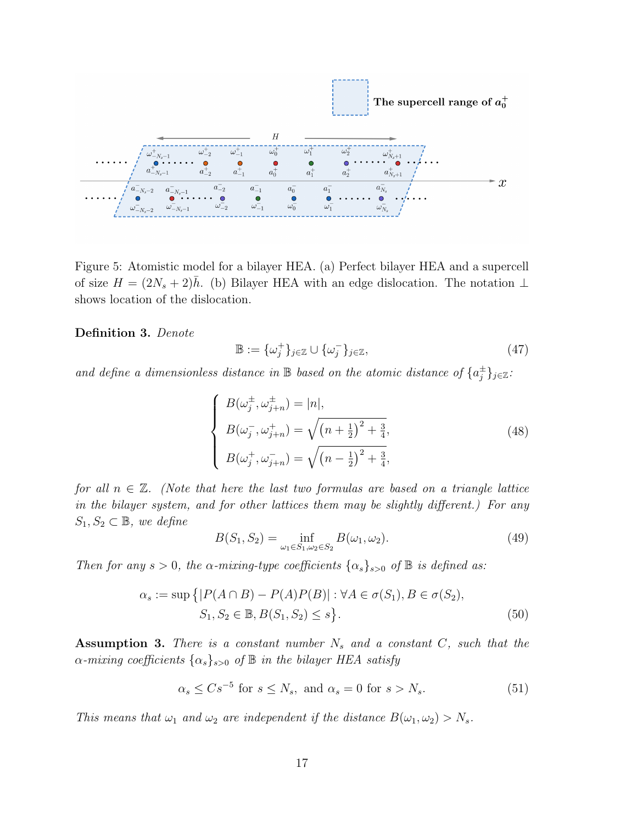

<span id="page-16-0"></span>Figure 5: Atomistic model for a bilayer HEA. (a) Perfect bilayer HEA and a supercell of size  $H = (2N_s + 2)h$ . (b) Bilayer HEA with an edge dislocation. The notation ⊥ shows location of the dislocation.

Definition 3. Denote

$$
\mathbb{B} := {\omega_j^+}_{j \in \mathbb{Z}} \cup {\omega_j^-}_{j \in \mathbb{Z}}, \tag{47}
$$

and define a dimensionless distance in  $\mathbb B$  based on the atomic distance of  $\{a_i^{\pm}\}$  $_{j}^{\pm}\}_{j\in\mathbb{Z}}$  :

$$
\begin{cases}\nB(\omega_j^{\pm}, \omega_{j+n}^{\pm}) = |n|, \\
B(\omega_j^-, \omega_{j+n}^{\pm}) = \sqrt{(n + \frac{1}{2})^2 + \frac{3}{4}}, \\
B(\omega_j^+, \omega_{j+n}^-) = \sqrt{(n - \frac{1}{2})^2 + \frac{3}{4}},\n\end{cases} (48)
$$

for all  $n \in \mathbb{Z}$ . (Note that here the last two formulas are based on a triangle lattice in the bilayer system, and for other lattices them may be slightly different.) For any  $S_1, S_2 \subset \mathbb{B}$ , we define

$$
B(S_1, S_2) = \inf_{\omega_1 \in S_1, \omega_2 \in S_2} B(\omega_1, \omega_2).
$$
 (49)

Then for any  $s > 0$ , the  $\alpha$ -mixing-type coefficients  $\{\alpha_s\}_{s>0}$  of  $\mathbb B$  is defined as:

$$
\alpha_s := \sup \{|P(A \cap B) - P(A)P(B)| : \forall A \in \sigma(S_1), B \in \sigma(S_2), S_1, S_2 \in \mathbb{B}, B(S_1, S_2) \le s\}.
$$
\n(50)

<span id="page-16-1"></span>Assumption 3. There is a constant number  $N_s$  and a constant  $C_s$ , such that the  $\alpha$ -mixing coefficients  $\{\alpha_s\}_{s>0}$  of  $\mathbb B$  in the bilayer HEA satisfy

$$
\alpha_s \leq Cs^{-5} \text{ for } s \leq N_s, \text{ and } \alpha_s = 0 \text{ for } s > N_s. \tag{51}
$$

This means that  $\omega_1$  and  $\omega_2$  are independent if the distance  $B(\omega_1, \omega_2) > N_s$ .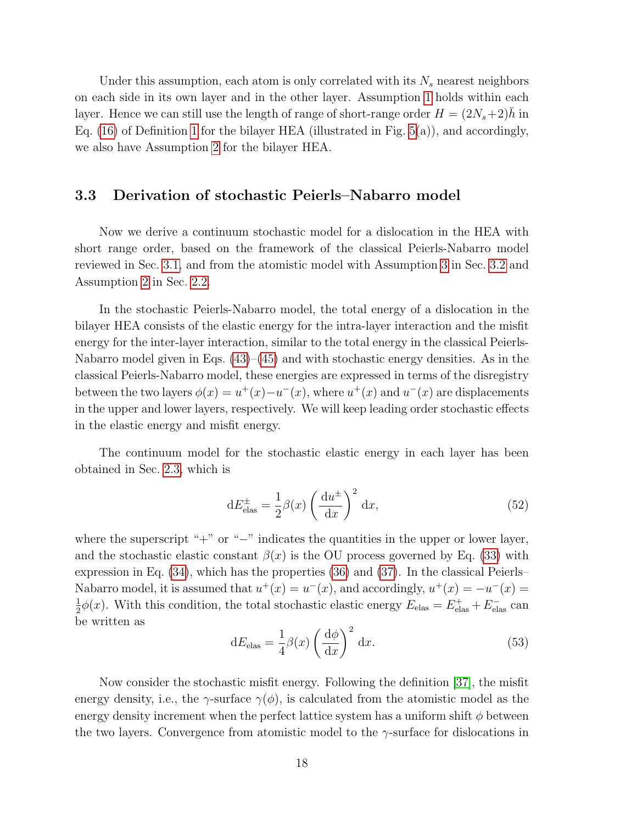Under this assumption, each atom is only correlated with its  $N_s$  nearest neighbors on each side in its own layer and in the other layer. Assumption [1](#page-5-0) holds within each layer. Hence we can still use the length of range of short-range order  $H = (2N_s + 2)h$  in Eq. [\(16\)](#page-6-0) of Definition [1](#page-6-1) for the bilayer HEA (illustrated in Fig. [5\(](#page-16-0)a)), and accordingly, we also have Assumption [2](#page-7-2) for the bilayer HEA.

#### 3.3 Derivation of stochastic Peierls–Nabarro model

Now we derive a continuum stochastic model for a dislocation in the HEA with short range order, based on the framework of the classical Peierls-Nabarro model reviewed in Sec. [3.1,](#page-13-0) and from the atomistic model with Assumption [3](#page-16-1) in Sec. [3.2](#page-15-0) and Assumption [2](#page-7-2) in Sec. [2.2.](#page-5-2)

In the stochastic Peierls-Nabarro model, the total energy of a dislocation in the bilayer HEA consists of the elastic energy for the intra-layer interaction and the misfit energy for the inter-layer interaction, similar to the total energy in the classical Peierls-Nabarro model given in Eqs.  $(43)$ – $(45)$  and with stochastic energy densities. As in the classical Peierls-Nabarro model, these energies are expressed in terms of the disregistry between the two layers  $\phi(x) = u^+(x) - u^-(x)$ , where  $u^+(x)$  and  $u^-(x)$  are displacements in the upper and lower layers, respectively. We will keep leading order stochastic effects in the elastic energy and misfit energy.

The continuum model for the stochastic elastic energy in each layer has been obtained in Sec. [2.3,](#page-8-0) which is

$$
dE_{\text{elas}}^{\pm} = \frac{1}{2}\beta(x)\left(\frac{du^{\pm}}{dx}\right)^2 dx, \tag{52}
$$

where the superscript "+" or "−" indicates the quantities in the upper or lower layer, and the stochastic elastic constant  $\beta(x)$  is the OU process governed by Eq. [\(33\)](#page-11-1) with expression in Eq. [\(34\)](#page-12-2), which has the properties [\(36\)](#page-12-3) and [\(37\)](#page-12-0). In the classical Peierls– Nabarro model, it is assumed that  $u^+(x) = u^-(x)$ , and accordingly,  $u^+(x) = -u^-(x) =$ 1  $\frac{1}{2}\phi(x)$ . With this condition, the total stochastic elastic energy  $E_{\text{elas}} = E_{\text{elas}}^+ + E_{\text{elas}}^-$  can be written as

<span id="page-17-0"></span>
$$
dE_{\text{elas}} = \frac{1}{4}\beta(x)\left(\frac{d\phi}{dx}\right)^2 dx.
$$
 (53)

Now consider the stochastic misfit energy. Following the definition [\[37\]](#page-26-4), the misfit energy density, i.e., the  $\gamma$ -surface  $\gamma(\phi)$ , is calculated from the atomistic model as the energy density increment when the perfect lattice system has a uniform shift  $\phi$  between the two layers. Convergence from atomistic model to the  $\gamma$ -surface for dislocations in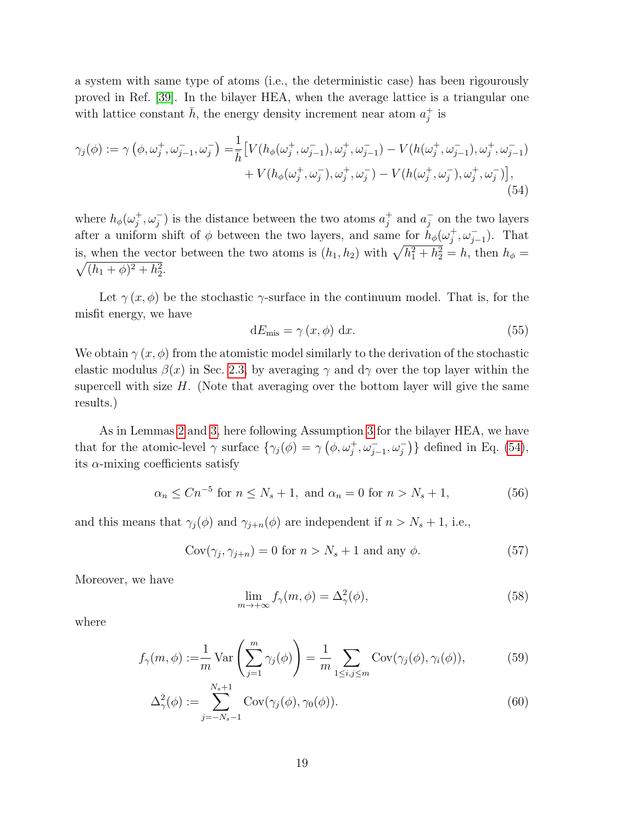a system with same type of atoms (i.e., the deterministic case) has been rigourously proved in Ref. [\[39\]](#page-26-6). In the bilayer HEA, when the average lattice is a triangular one with lattice constant  $\bar{h}$ , the energy density increment near atom  $a_i^+$  $_j^+$  is

$$
\gamma_j(\phi) := \gamma \left( \phi, \omega_j^+, \omega_{j-1}^-, \omega_j^- \right) = \frac{1}{\bar{h}} \left[ V(h_{\phi}(\omega_j^+, \omega_{j-1}^-), \omega_j^+, \omega_{j-1}^-) - V(h(\omega_j^+, \omega_{j-1}^-), \omega_j^+, \omega_{j-1}^-) \right. \\ \left. + V(h_{\phi}(\omega_j^+, \omega_j^-), \omega_j^+, \omega_j^-) - V(h(\omega_j^+, \omega_j^-), \omega_j^+, \omega_j^-) \right], \tag{54}
$$

where  $h_{\phi}(\omega_i^+$  $j^+,\omega_j^-$  is the distance between the two atoms  $a_j^+$  $j^+$  and  $a_j^ \overline{j}$  on the two layers after a uniform shift of  $\phi$  between the two layers, and same for  $h_{\phi}(\omega_i^+)$  $j^+, \omega_{j-1}^-$ ). That is, when the vector between the two atoms is  $(h_1, h_2)$  with  $\sqrt{h_1^2 + h_2^2} = h$ , then  $h_{\phi} =$  $\sqrt{(h_1 + \phi)^2 + h_2^2}$ .

Let  $\gamma(x, \phi)$  be the stochastic  $\gamma$ -surface in the continuum model. That is, for the misfit energy, we have

<span id="page-18-0"></span>
$$
dE_{\rm mis} = \gamma(x, \phi) dx.
$$
 (55)

We obtain  $\gamma(x, \phi)$  from the atomistic model similarly to the derivation of the stochastic elastic modulus  $\beta(x)$  in Sec. [2.3,](#page-8-0) by averaging  $\gamma$  and  $d\gamma$  over the top layer within the supercell with size  $H$ . (Note that averaging over the bottom layer will give the same results.)

As in Lemmas [2](#page-9-0) and [3,](#page-9-2) here following Assumption [3](#page-16-1) for the bilayer HEA, we have that for the atomic-level  $\gamma$  surface  $\{\gamma_j(\phi) = \gamma \left(\phi, \omega_j^+, \omega_{j-1}^-, \omega_j^-\right)\}\$  defined in Eq. [\(54\)](#page-18-0), its  $\alpha$ -mixing coefficients satisfy

$$
\alpha_n \le Cn^{-5} \text{ for } n \le N_s + 1, \text{ and } \alpha_n = 0 \text{ for } n > N_s + 1,
$$
 (56)

and this means that  $\gamma_j(\phi)$  and  $\gamma_{j+n}(\phi)$  are independent if  $n > N_s + 1$ , i.e.,

$$
Cov(\gamma_j, \gamma_{j+n}) = 0 \text{ for } n > N_s + 1 \text{ and any } \phi.
$$
 (57)

Moreover, we have

$$
\lim_{m \to +\infty} f_{\gamma}(m,\phi) = \Delta_{\gamma}^{2}(\phi),\tag{58}
$$

where

$$
f_{\gamma}(m,\phi) := \frac{1}{m} \operatorname{Var}\left(\sum_{j=1}^{m} \gamma_j(\phi)\right) = \frac{1}{m} \sum_{1 \le i,j \le m} \operatorname{Cov}(\gamma_j(\phi), \gamma_i(\phi)),\tag{59}
$$

$$
\Delta_{\gamma}^{2}(\phi) := \sum_{j=-N_{s}-1}^{N_{s}+1} \text{Cov}(\gamma_{j}(\phi), \gamma_{0}(\phi)).
$$
\n(60)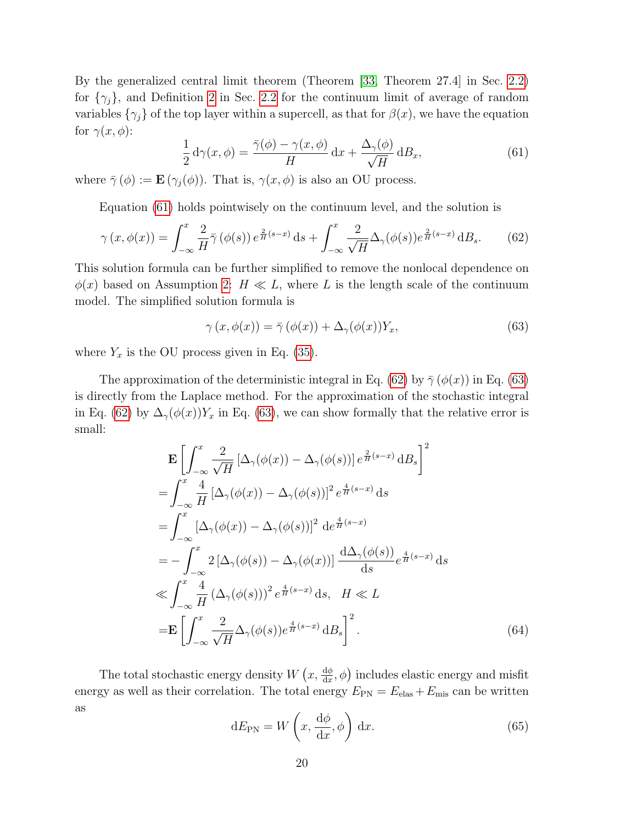By the generalized central limit theorem (Theorem [\[33,](#page-26-0) Theorem 27.4] in Sec. [2.2\)](#page-5-2) for  $\{\gamma_j\}$ , and Definition [2](#page-7-1) in Sec. [2.2](#page-5-2) for the continuum limit of average of random variables  $\{\gamma_j\}$  of the top layer within a supercell, as that for  $\beta(x)$ , we have the equation for  $\gamma(x,\phi)$ :

<span id="page-19-0"></span>
$$
\frac{1}{2} d\gamma(x,\phi) = \frac{\bar{\gamma}(\phi) - \gamma(x,\phi)}{H} dx + \frac{\Delta_{\gamma}(\phi)}{\sqrt{H}} dB_x,
$$
\n(61)

where  $\bar{\gamma}(\phi) := \mathbf{E}(\gamma_i(\phi))$ . That is,  $\gamma(x, \phi)$  is also an OU process.

Equation [\(61\)](#page-19-0) holds pointwisely on the continuum level, and the solution is

<span id="page-19-1"></span>
$$
\gamma(x,\phi(x)) = \int_{-\infty}^{x} \frac{2}{H} \bar{\gamma}(\phi(s)) e^{\frac{2}{H}(s-x)} ds + \int_{-\infty}^{x} \frac{2}{\sqrt{H}} \Delta_{\gamma}(\phi(s)) e^{\frac{2}{H}(s-x)} dB_s.
$$
 (62)

This solution formula can be further simplified to remove the nonlocal dependence on  $\phi(x)$  based on Assumption [2:](#page-7-2)  $H \ll L$ , where L is the length scale of the continuum model. The simplified solution formula is

<span id="page-19-2"></span>
$$
\gamma(x, \phi(x)) = \bar{\gamma}(\phi(x)) + \Delta_{\gamma}(\phi(x))Y_x, \tag{63}
$$

where  $Y_x$  is the OU process given in Eq. [\(35\)](#page-12-4).

The approximation of the deterministic integral in Eq. [\(62\)](#page-19-1) by  $\bar{\gamma}(\phi(x))$  in Eq. [\(63\)](#page-19-2) is directly from the Laplace method. For the approximation of the stochastic integral in Eq. [\(62\)](#page-19-1) by  $\Delta_{\gamma}(\phi(x))Y_x$  in Eq. [\(63\)](#page-19-2), we can show formally that the relative error is small:

$$
\mathbf{E} \left[ \int_{-\infty}^{x} \frac{2}{\sqrt{H}} \left[ \Delta_{\gamma}(\phi(x)) - \Delta_{\gamma}(\phi(s)) \right] e^{\frac{2}{H}(s-x)} \, dB_s \right]^2
$$
\n
$$
= \int_{-\infty}^{x} \frac{4}{H} \left[ \Delta_{\gamma}(\phi(x)) - \Delta_{\gamma}(\phi(s)) \right]^2 e^{\frac{4}{H}(s-x)} \, ds
$$
\n
$$
= \int_{-\infty}^{x} \left[ \Delta_{\gamma}(\phi(x)) - \Delta_{\gamma}(\phi(s)) \right]^2 \, d e^{\frac{4}{H}(s-x)}
$$
\n
$$
= - \int_{-\infty}^{x} 2 \left[ \Delta_{\gamma}(\phi(s)) - \Delta_{\gamma}(\phi(x)) \right] \frac{d \Delta_{\gamma}(\phi(s))}{ds} e^{\frac{4}{H}(s-x)} \, ds
$$
\n
$$
\ll \int_{-\infty}^{x} \frac{4}{H} \left( \Delta_{\gamma}(\phi(s)) \right)^2 e^{\frac{4}{H}(s-x)} \, ds, \quad H \ll L
$$
\n
$$
= \mathbf{E} \left[ \int_{-\infty}^{x} \frac{2}{\sqrt{H}} \Delta_{\gamma}(\phi(s)) e^{\frac{4}{H}(s-x)} \, dB_s \right]^2.
$$
\n(64)

The total stochastic energy density  $W(x, \frac{d\phi}{dx}, \phi)$  includes elastic energy and misfit energy as well as their correlation. The total energy  $E_{\text{PN}} = E_{\text{elas}} + E_{\text{mis}}$  can be written as

$$
dE_{PN} = W\left(x, \frac{d\phi}{dx}, \phi\right) dx.
$$
 (65)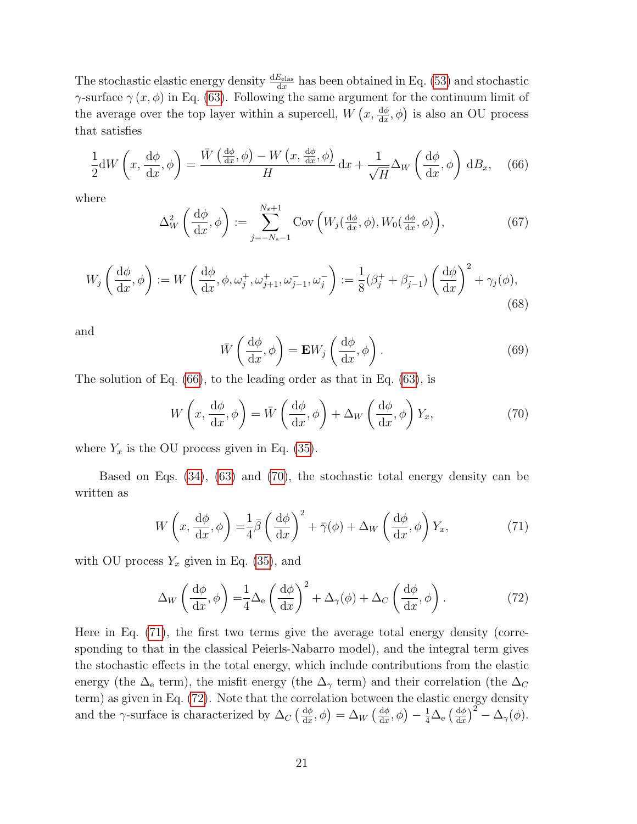The stochastic elastic energy density  $\frac{dE_{\text{elas}}}{dx}$  has been obtained in Eq. [\(53\)](#page-17-0) and stochastic γ-surface  $\gamma(x, \phi)$  in Eq. [\(63\)](#page-19-2). Following the same argument for the continuum limit of the average over the top layer within a supercell,  $W(x, \frac{d\phi}{dx}, \phi)$  is also an OU process that satisfies

<span id="page-20-0"></span>
$$
\frac{1}{2} \mathrm{d}W\left(x, \frac{\mathrm{d}\phi}{\mathrm{d}x}, \phi\right) = \frac{\bar{W}\left(\frac{\mathrm{d}\phi}{\mathrm{d}x}, \phi\right) - W\left(x, \frac{\mathrm{d}\phi}{\mathrm{d}x}, \phi\right)}{H} \mathrm{d}x + \frac{1}{\sqrt{H}} \Delta_W \left(\frac{\mathrm{d}\phi}{\mathrm{d}x}, \phi\right) \mathrm{d}B_x,\tag{66}
$$

where

$$
\Delta_W^2\left(\frac{\mathrm{d}\phi}{\mathrm{d}x},\phi\right) := \sum_{j=-N_s-1}^{N_s+1} \mathrm{Cov}\left(W_j(\tfrac{\mathrm{d}\phi}{\mathrm{d}x},\phi), W_0(\tfrac{\mathrm{d}\phi}{\mathrm{d}x},\phi)\right),\tag{67}
$$

$$
W_j\left(\frac{\mathrm{d}\phi}{\mathrm{d}x},\phi\right) := W\left(\frac{\mathrm{d}\phi}{\mathrm{d}x},\phi,\omega_j^+,\omega_{j+1}^+,\omega_{j-1}^-,\omega_j^-\right) := \frac{1}{8}(\beta_j^+ + \beta_{j-1}^-)\left(\frac{\mathrm{d}\phi}{\mathrm{d}x}\right)^2 + \gamma_j(\phi),\tag{68}
$$

and

<span id="page-20-2"></span>
$$
\bar{W}\left(\frac{\mathrm{d}\phi}{\mathrm{d}x},\phi\right) = \mathbf{E}W_j\left(\frac{\mathrm{d}\phi}{\mathrm{d}x},\phi\right). \tag{69}
$$

The solution of Eq. [\(66\)](#page-20-0), to the leading order as that in Eq. [\(63\)](#page-19-2), is

<span id="page-20-1"></span>
$$
W\left(x, \frac{\mathrm{d}\phi}{\mathrm{d}x}, \phi\right) = \bar{W}\left(\frac{\mathrm{d}\phi}{\mathrm{d}x}, \phi\right) + \Delta_W \left(\frac{\mathrm{d}\phi}{\mathrm{d}x}, \phi\right) Y_x,\tag{70}
$$

where  $Y_x$  is the OU process given in Eq. [\(35\)](#page-12-4).

Based on Eqs. [\(34\)](#page-12-2), [\(63\)](#page-19-2) and [\(70\)](#page-20-1), the stochastic total energy density can be written as

$$
W\left(x, \frac{\mathrm{d}\phi}{\mathrm{d}x}, \phi\right) = \frac{1}{4}\bar{\beta}\left(\frac{\mathrm{d}\phi}{\mathrm{d}x}\right)^2 + \bar{\gamma}(\phi) + \Delta_W\left(\frac{\mathrm{d}\phi}{\mathrm{d}x}, \phi\right)Y_x,\tag{71}
$$

with OU process  $Y_x$  given in Eq. [\(35\)](#page-12-4), and

<span id="page-20-3"></span>
$$
\Delta_W \left( \frac{\mathrm{d}\phi}{\mathrm{d}x}, \phi \right) = \frac{1}{4} \Delta_e \left( \frac{\mathrm{d}\phi}{\mathrm{d}x} \right)^2 + \Delta_\gamma(\phi) + \Delta_C \left( \frac{\mathrm{d}\phi}{\mathrm{d}x}, \phi \right). \tag{72}
$$

Here in Eq. [\(71\)](#page-20-2), the first two terms give the average total energy density (corresponding to that in the classical Peierls-Nabarro model), and the integral term gives the stochastic effects in the total energy, which include contributions from the elastic energy (the  $\Delta_e$  term), the misfit energy (the  $\Delta_{\gamma}$  term) and their correlation (the  $\Delta_C$ term) as given in Eq. [\(72\)](#page-20-3). Note that the correlation between the elastic energy density and the  $\gamma$ -surface is characterized by  $\Delta_C \left( \frac{d\phi}{dx} \right)$  $\frac{\mathrm{d}\phi}{\mathrm{d}x},\phi\big)=\Delta_W\left(\frac{\mathrm{d}\phi}{\mathrm{d}x}\right)$  $\frac{\mathrm{d}\phi}{\mathrm{d}x},\phi\big)-\frac{1}{4}\Delta_\mathrm{e}\left(\frac{\mathrm{d}\phi}{\mathrm{d}x}\right)$  $\frac{\mathrm{d}\phi}{\mathrm{d}x}\big)^2 - \Delta_\gamma(\phi).$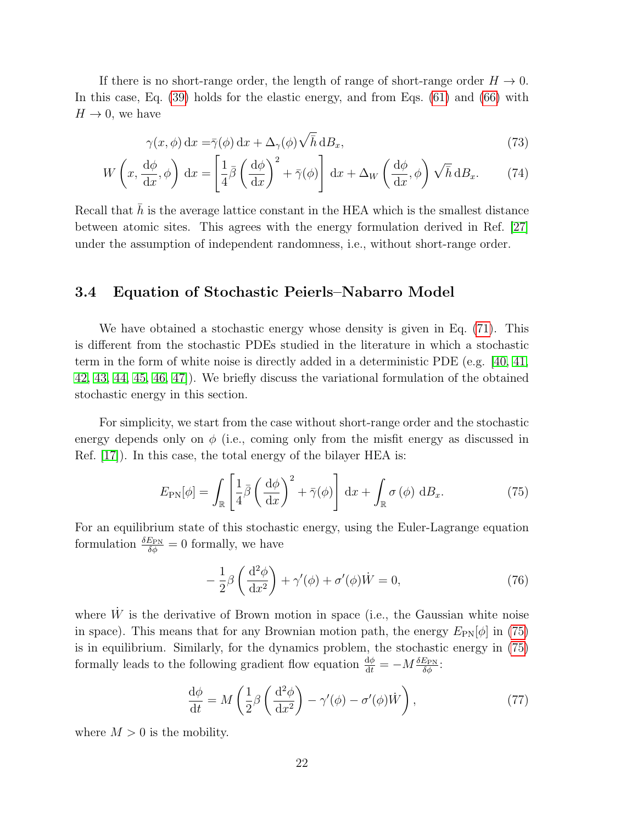If there is no short-range order, the length of range of short-range order  $H \to 0$ . In this case, Eq. [\(39\)](#page-12-5) holds for the elastic energy, and from Eqs. [\(61\)](#page-19-0) and [\(66\)](#page-20-0) with  $H \rightarrow 0$ , we have

$$
\gamma(x,\phi) dx = \bar{\gamma}(\phi) dx + \Delta_{\gamma}(\phi) \sqrt{\bar{h}} dB_x,
$$
\n(73)

$$
W\left(x, \frac{\mathrm{d}\phi}{\mathrm{d}x}, \phi\right) \mathrm{d}x = \left[\frac{1}{4}\bar{\beta}\left(\frac{\mathrm{d}\phi}{\mathrm{d}x}\right)^2 + \bar{\gamma}(\phi)\right] \mathrm{d}x + \Delta_W\left(\frac{\mathrm{d}\phi}{\mathrm{d}x}, \phi\right)\sqrt{\bar{h}} \mathrm{d}B_x. \tag{74}
$$

Recall that  $\bar{h}$  is the average lattice constant in the HEA which is the smallest distance between atomic sites. This agrees with the energy formulation derived in Ref. [\[27\]](#page-25-8) under the assumption of independent randomness, i.e., without short-range order.

#### 3.4 Equation of Stochastic Peierls–Nabarro Model

We have obtained a stochastic energy whose density is given in Eq. [\(71\)](#page-20-2). This is different from the stochastic PDEs studied in the literature in which a stochastic term in the form of white noise is directly added in a deterministic PDE (e.g. [\[40,](#page-26-7) [41,](#page-26-8) [42,](#page-26-9) [43,](#page-26-10) [44,](#page-26-11) [45,](#page-26-12) [46,](#page-26-13) [47\]](#page-27-0)). We briefly discuss the variational formulation of the obtained stochastic energy in this section.

For simplicity, we start from the case without short-range order and the stochastic energy depends only on  $\phi$  (i.e., coming only from the misfit energy as discussed in Ref. [\[17\]](#page-24-9)). In this case, the total energy of the bilayer HEA is:

<span id="page-21-0"></span>
$$
E_{\rm PN}[\phi] = \int_{\mathbb{R}} \left[ \frac{1}{4} \bar{\beta} \left( \frac{\mathrm{d}\phi}{\mathrm{d}x} \right)^2 + \bar{\gamma}(\phi) \right] \mathrm{d}x + \int_{\mathbb{R}} \sigma(\phi) \mathrm{d}B_x. \tag{75}
$$

For an equilibrium state of this stochastic energy, using the Euler-Lagrange equation formulation  $\frac{\delta E_{\text{PN}}}{\delta \phi} = 0$  formally, we have

<span id="page-21-1"></span>
$$
-\frac{1}{2}\beta\left(\frac{\mathrm{d}^2\phi}{\mathrm{d}x^2}\right) + \gamma'(\phi) + \sigma'(\phi)\dot{W} = 0,\tag{76}
$$

where  $\dot{W}$  is the derivative of Brown motion in space (i.e., the Gaussian white noise in space). This means that for any Brownian motion path, the energy  $E_{PN}[\phi]$  in [\(75\)](#page-21-0) is in equilibrium. Similarly, for the dynamics problem, the stochastic energy in [\(75\)](#page-21-0) formally leads to the following gradient flow equation  $\frac{d\phi}{dt} = -M \frac{\delta E_{\text{PN}}}{\delta \phi}$ :

$$
\frac{\mathrm{d}\phi}{\mathrm{d}t} = M\left(\frac{1}{2}\beta\left(\frac{\mathrm{d}^2\phi}{\mathrm{d}x^2}\right) - \gamma'(\phi) - \sigma'(\phi)\dot{W}\right),\tag{77}
$$

where  $M > 0$  is the mobility.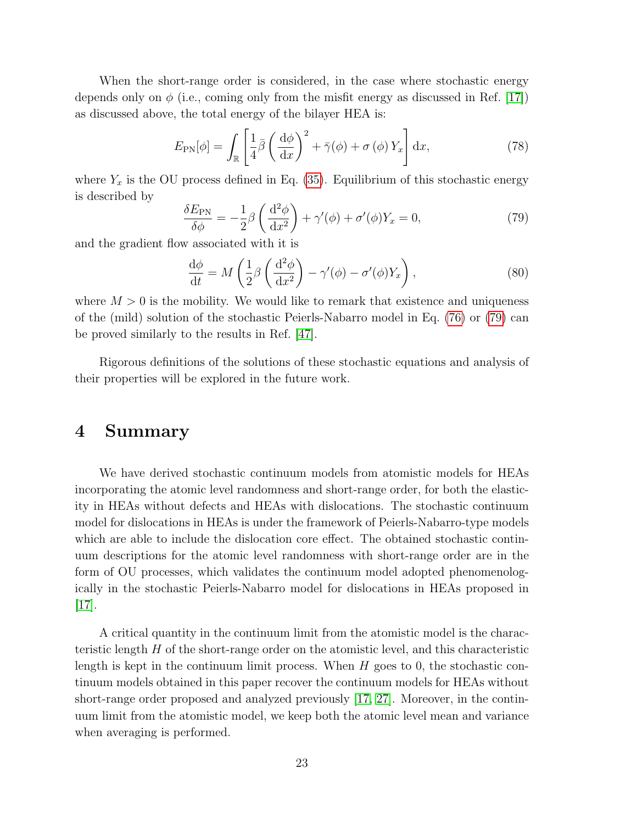When the short-range order is considered, in the case where stochastic energy depends only on  $\phi$  (i.e., coming only from the misfit energy as discussed in Ref. [\[17\]](#page-24-9)) as discussed above, the total energy of the bilayer HEA is:

$$
E_{\rm PN}[\phi] = \int_{\mathbb{R}} \left[ \frac{1}{4} \bar{\beta} \left( \frac{\mathrm{d}\phi}{\mathrm{d}x} \right)^2 + \bar{\gamma}(\phi) + \sigma(\phi) Y_x \right] \mathrm{d}x, \tag{78}
$$

where  $Y_x$  is the OU process defined in Eq. [\(35\)](#page-12-4). Equilibrium of this stochastic energy is described by

<span id="page-22-0"></span>
$$
\frac{\delta E_{\rm PN}}{\delta \phi} = -\frac{1}{2} \beta \left( \frac{\mathrm{d}^2 \phi}{\mathrm{d} x^2} \right) + \gamma'(\phi) + \sigma'(\phi) Y_x = 0, \tag{79}
$$

and the gradient flow associated with it is

$$
\frac{\mathrm{d}\phi}{\mathrm{d}t} = M\left(\frac{1}{2}\beta\left(\frac{\mathrm{d}^2\phi}{\mathrm{d}x^2}\right) - \gamma'(\phi) - \sigma'(\phi)Y_x\right),\tag{80}
$$

where  $M > 0$  is the mobility. We would like to remark that existence and uniqueness of the (mild) solution of the stochastic Peierls-Nabarro model in Eq. [\(76\)](#page-21-1) or [\(79\)](#page-22-0) can be proved similarly to the results in Ref. [\[47\]](#page-27-0).

Rigorous definitions of the solutions of these stochastic equations and analysis of their properties will be explored in the future work.

#### 4 Summary

We have derived stochastic continuum models from atomistic models for HEAs incorporating the atomic level randomness and short-range order, for both the elasticity in HEAs without defects and HEAs with dislocations. The stochastic continuum model for dislocations in HEAs is under the framework of Peierls-Nabarro-type models which are able to include the dislocation core effect. The obtained stochastic continuum descriptions for the atomic level randomness with short-range order are in the form of OU processes, which validates the continuum model adopted phenomenologically in the stochastic Peierls-Nabarro model for dislocations in HEAs proposed in [\[17\]](#page-24-9).

A critical quantity in the continuum limit from the atomistic model is the characteristic length H of the short-range order on the atomistic level, and this characteristic length is kept in the continuum limit process. When  $H$  goes to 0, the stochastic continuum models obtained in this paper recover the continuum models for HEAs without short-range order proposed and analyzed previously [\[17,](#page-24-9) [27\]](#page-25-8). Moreover, in the continuum limit from the atomistic model, we keep both the atomic level mean and variance when averaging is performed.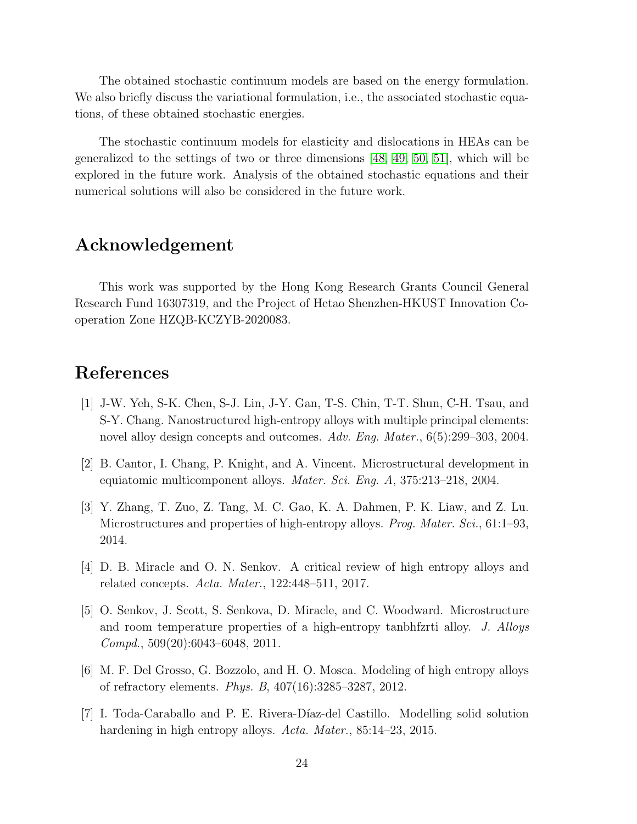The obtained stochastic continuum models are based on the energy formulation. We also briefly discuss the variational formulation, i.e., the associated stochastic equations, of these obtained stochastic energies.

The stochastic continuum models for elasticity and dislocations in HEAs can be generalized to the settings of two or three dimensions [\[48,](#page-27-1) [49,](#page-27-2) [50,](#page-27-3) [51\]](#page-27-4), which will be explored in the future work. Analysis of the obtained stochastic equations and their numerical solutions will also be considered in the future work.

## Acknowledgement

This work was supported by the Hong Kong Research Grants Council General Research Fund 16307319, and the Project of Hetao Shenzhen-HKUST Innovation Cooperation Zone HZQB-KCZYB-2020083.

## References

- <span id="page-23-0"></span>[1] J-W. Yeh, S-K. Chen, S-J. Lin, J-Y. Gan, T-S. Chin, T-T. Shun, C-H. Tsau, and S-Y. Chang. Nanostructured high-entropy alloys with multiple principal elements: novel alloy design concepts and outcomes. Adv. Eng. Mater., 6(5):299–303, 2004.
- <span id="page-23-1"></span>[2] B. Cantor, I. Chang, P. Knight, and A. Vincent. Microstructural development in equiatomic multicomponent alloys. Mater. Sci. Eng. A, 375:213–218, 2004.
- <span id="page-23-2"></span>[3] Y. Zhang, T. Zuo, Z. Tang, M. C. Gao, K. A. Dahmen, P. K. Liaw, and Z. Lu. Microstructures and properties of high-entropy alloys. Prog. Mater. Sci., 61:1–93, 2014.
- <span id="page-23-3"></span>[4] D. B. Miracle and O. N. Senkov. A critical review of high entropy alloys and related concepts. Acta. Mater., 122:448–511, 2017.
- <span id="page-23-4"></span>[5] O. Senkov, J. Scott, S. Senkova, D. Miracle, and C. Woodward. Microstructure and room temperature properties of a high-entropy tanbhfzrti alloy. J. Alloys Compd., 509(20):6043–6048, 2011.
- <span id="page-23-5"></span>[6] M. F. Del Grosso, G. Bozzolo, and H. O. Mosca. Modeling of high entropy alloys of refractory elements. Phys. B, 407(16):3285–3287, 2012.
- <span id="page-23-6"></span>[7] I. Toda-Caraballo and P. E. Rivera-D´ıaz-del Castillo. Modelling solid solution hardening in high entropy alloys. Acta. Mater., 85:14-23, 2015.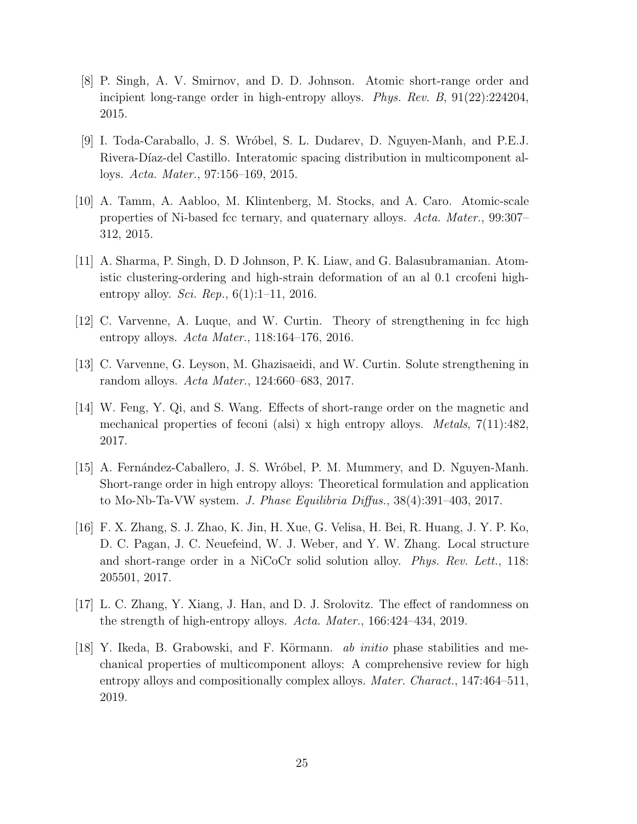- <span id="page-24-0"></span>[8] P. Singh, A. V. Smirnov, and D. D. Johnson. Atomic short-range order and incipient long-range order in high-entropy alloys. Phys. Rev. B, 91(22):224204, 2015.
- <span id="page-24-1"></span>[9] I. Toda-Caraballo, J. S. Wr´obel, S. L. Dudarev, D. Nguyen-Manh, and P.E.J. Rivera-Díaz-del Castillo. Interatomic spacing distribution in multicomponent alloys. Acta. Mater., 97:156–169, 2015.
- <span id="page-24-2"></span>[10] A. Tamm, A. Aabloo, M. Klintenberg, M. Stocks, and A. Caro. Atomic-scale properties of Ni-based fcc ternary, and quaternary alloys. Acta. Mater., 99:307– 312, 2015.
- <span id="page-24-3"></span>[11] A. Sharma, P. Singh, D. D Johnson, P. K. Liaw, and G. Balasubramanian. Atomistic clustering-ordering and high-strain deformation of an al 0.1 crcofeni highentropy alloy. *Sci. Rep.*,  $6(1):1-11$ , 2016.
- <span id="page-24-4"></span>[12] C. Varvenne, A. Luque, and W. Curtin. Theory of strengthening in fcc high entropy alloys. Acta Mater., 118:164–176, 2016.
- <span id="page-24-5"></span>[13] C. Varvenne, G. Leyson, M. Ghazisaeidi, and W. Curtin. Solute strengthening in random alloys. Acta Mater., 124:660–683, 2017.
- <span id="page-24-6"></span>[14] W. Feng, Y. Qi, and S. Wang. Effects of short-range order on the magnetic and mechanical properties of feconi (alsi) x high entropy alloys. *Metals*,  $7(11):482$ , 2017.
- <span id="page-24-7"></span>[15] A. Fernández-Caballero, J. S. Wróbel, P. M. Mummery, and D. Nguyen-Manh. Short-range order in high entropy alloys: Theoretical formulation and application to Mo-Nb-Ta-VW system. J. Phase Equilibria Diffus., 38(4):391–403, 2017.
- <span id="page-24-8"></span>[16] F. X. Zhang, S. J. Zhao, K. Jin, H. Xue, G. Velisa, H. Bei, R. Huang, J. Y. P. Ko, D. C. Pagan, J. C. Neuefeind, W. J. Weber, and Y. W. Zhang. Local structure and short-range order in a NiCoCr solid solution alloy. Phys. Rev. Lett., 118: 205501, 2017.
- <span id="page-24-9"></span>[17] L. C. Zhang, Y. Xiang, J. Han, and D. J. Srolovitz. The effect of randomness on the strength of high-entropy alloys. Acta. Mater., 166:424–434, 2019.
- <span id="page-24-10"></span>[18] Y. Ikeda, B. Grabowski, and F. Körmann. *ab initio* phase stabilities and mechanical properties of multicomponent alloys: A comprehensive review for high entropy alloys and compositionally complex alloys. *Mater. Charact.*, 147:464–511, 2019.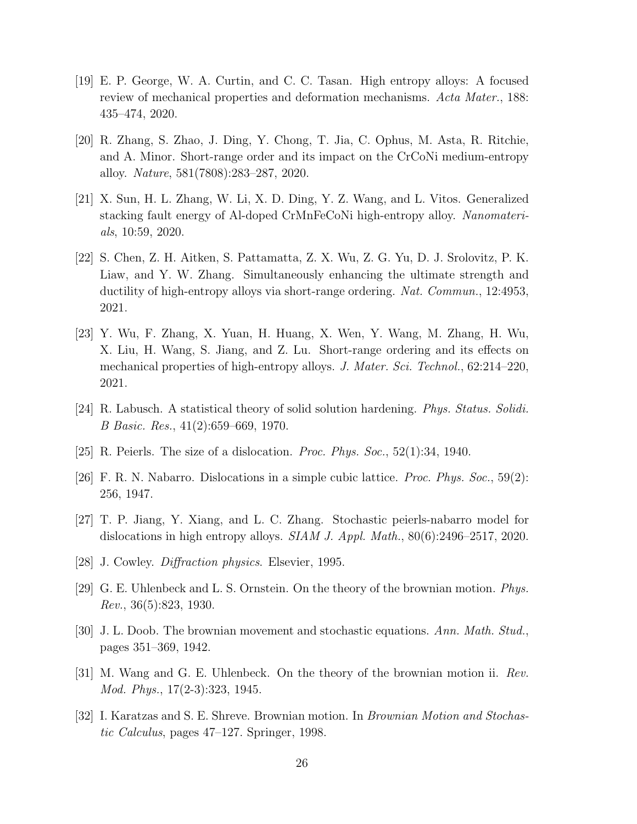- <span id="page-25-0"></span>[19] E. P. George, W. A. Curtin, and C. C. Tasan. High entropy alloys: A focused review of mechanical properties and deformation mechanisms. Acta Mater., 188: 435–474, 2020.
- <span id="page-25-1"></span>[20] R. Zhang, S. Zhao, J. Ding, Y. Chong, T. Jia, C. Ophus, M. Asta, R. Ritchie, and A. Minor. Short-range order and its impact on the CrCoNi medium-entropy alloy. Nature, 581(7808):283–287, 2020.
- <span id="page-25-2"></span>[21] X. Sun, H. L. Zhang, W. Li, X. D. Ding, Y. Z. Wang, and L. Vitos. Generalized stacking fault energy of Al-doped CrMnFeCoNi high-entropy alloy. Nanomaterials, 10:59, 2020.
- <span id="page-25-3"></span>[22] S. Chen, Z. H. Aitken, S. Pattamatta, Z. X. Wu, Z. G. Yu, D. J. Srolovitz, P. K. Liaw, and Y. W. Zhang. Simultaneously enhancing the ultimate strength and ductility of high-entropy alloys via short-range ordering. Nat. Commun., 12:4953, 2021.
- <span id="page-25-4"></span>[23] Y. Wu, F. Zhang, X. Yuan, H. Huang, X. Wen, Y. Wang, M. Zhang, H. Wu, X. Liu, H. Wang, S. Jiang, and Z. Lu. Short-range ordering and its effects on mechanical properties of high-entropy alloys. J. Mater. Sci. Technol., 62:214–220, 2021.
- <span id="page-25-5"></span>[24] R. Labusch. A statistical theory of solid solution hardening. Phys. Status. Solidi. B Basic. Res., 41(2):659–669, 1970.
- <span id="page-25-6"></span>[25] R. Peierls. The size of a dislocation. *Proc. Phys. Soc.*,  $52(1):34$ , 1940.
- <span id="page-25-7"></span>[26] F. R. N. Nabarro. Dislocations in a simple cubic lattice. Proc. Phys. Soc., 59(2): 256, 1947.
- <span id="page-25-8"></span>[27] T. P. Jiang, Y. Xiang, and L. C. Zhang. Stochastic peierls-nabarro model for dislocations in high entropy alloys.  $SIAM J. Appl. Math.$ ,  $80(6):2496-2517, 2020.$
- <span id="page-25-9"></span>[28] J. Cowley. Diffraction physics. Elsevier, 1995.
- <span id="page-25-10"></span>[29] G. E. Uhlenbeck and L. S. Ornstein. On the theory of the brownian motion. Phys. Rev., 36(5):823, 1930.
- <span id="page-25-11"></span>[30] J. L. Doob. The brownian movement and stochastic equations. Ann. Math. Stud., pages 351–369, 1942.
- <span id="page-25-12"></span>[31] M. Wang and G. E. Uhlenbeck. On the theory of the brownian motion ii. Rev. Mod. Phys., 17(2-3):323, 1945.
- <span id="page-25-13"></span>[32] I. Karatzas and S. E. Shreve. Brownian motion. In Brownian Motion and Stochastic Calculus, pages 47–127. Springer, 1998.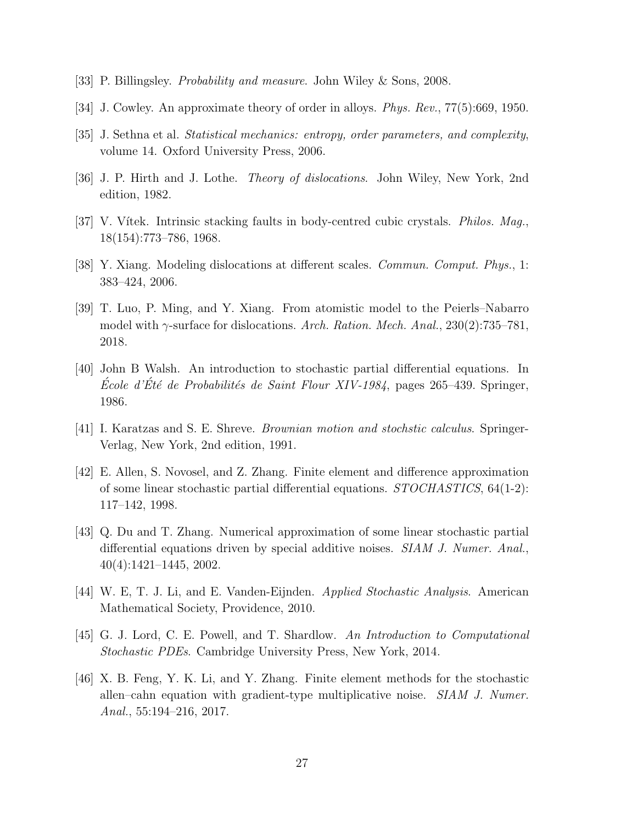- <span id="page-26-0"></span>[33] P. Billingsley. Probability and measure. John Wiley & Sons, 2008.
- <span id="page-26-1"></span>[34] J. Cowley. An approximate theory of order in alloys. Phys. Rev., 77(5):669, 1950.
- <span id="page-26-2"></span>[35] J. Sethna et al. Statistical mechanics: entropy, order parameters, and complexity, volume 14. Oxford University Press, 2006.
- <span id="page-26-3"></span>[36] J. P. Hirth and J. Lothe. Theory of dislocations. John Wiley, New York, 2nd edition, 1982.
- <span id="page-26-4"></span>[37] V. Vítek. Intrinsic stacking faults in body-centred cubic crystals. *Philos. Mag.*, 18(154):773–786, 1968.
- <span id="page-26-5"></span>[38] Y. Xiang. Modeling dislocations at different scales. Commun. Comput. Phys., 1: 383–424, 2006.
- <span id="page-26-6"></span>[39] T. Luo, P. Ming, and Y. Xiang. From atomistic model to the Peierls–Nabarro model with  $\gamma$ -surface for dislocations. Arch. Ration. Mech. Anal., 230(2):735–781, 2018.
- <span id="page-26-7"></span>[40] John B Walsh. An introduction to stochastic partial differential equations. In École d'Été de Probabilités de Saint Flour XIV-1984, pages 265–439. Springer, 1986.
- <span id="page-26-8"></span>[41] I. Karatzas and S. E. Shreve. Brownian motion and stochstic calculus. Springer-Verlag, New York, 2nd edition, 1991.
- <span id="page-26-9"></span>[42] E. Allen, S. Novosel, and Z. Zhang. Finite element and difference approximation of some linear stochastic partial differential equations. STOCHASTICS, 64(1-2): 117–142, 1998.
- <span id="page-26-10"></span>[43] Q. Du and T. Zhang. Numerical approximation of some linear stochastic partial differential equations driven by special additive noises. SIAM J. Numer. Anal., 40(4):1421–1445, 2002.
- <span id="page-26-11"></span>[44] W. E, T. J. Li, and E. Vanden-Eijnden. Applied Stochastic Analysis. American Mathematical Society, Providence, 2010.
- <span id="page-26-12"></span>[45] G. J. Lord, C. E. Powell, and T. Shardlow. An Introduction to Computational Stochastic PDEs. Cambridge University Press, New York, 2014.
- <span id="page-26-13"></span>[46] X. B. Feng, Y. K. Li, and Y. Zhang. Finite element methods for the stochastic allen–cahn equation with gradient-type multiplicative noise. SIAM J. Numer. Anal., 55:194–216, 2017.